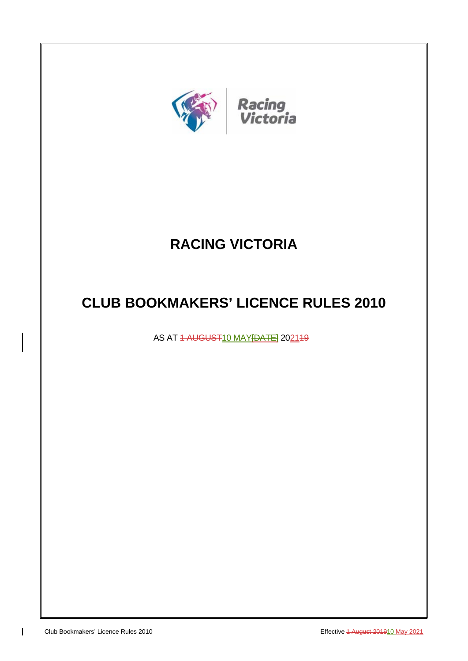

# **RACING VICTORIA**

# **CLUB BOOKMAKERS' LICENCE RULES 2010**

AS AT 1 AUGUST10 MAY [DATE] 202149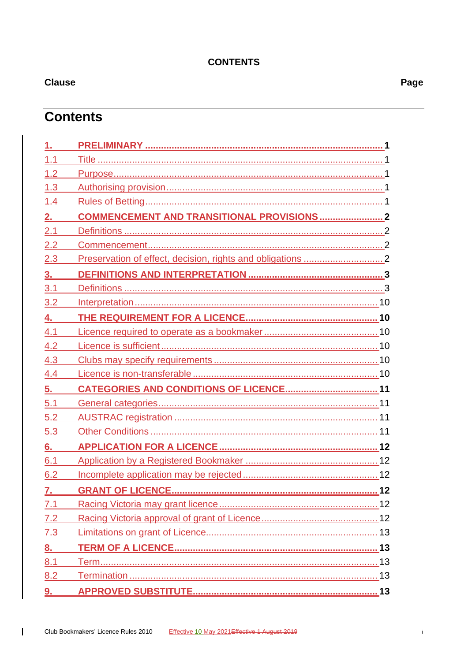# **CONTENTS**

 $\overline{1}$ 

# **Contents**

| 1.  |                                                    |    |
|-----|----------------------------------------------------|----|
| 1.1 |                                                    |    |
| 1.2 |                                                    |    |
| 1.3 |                                                    |    |
| 1.4 |                                                    |    |
| 2.  | <b>COMMENCEMENT AND TRANSITIONAL PROVISIONS  2</b> |    |
| 2.1 |                                                    |    |
| 2.2 |                                                    |    |
| 2.3 |                                                    |    |
| 3.  |                                                    |    |
| 3.1 |                                                    |    |
| 3.2 |                                                    |    |
| 4.  |                                                    |    |
| 4.1 |                                                    |    |
| 4.2 |                                                    |    |
| 4.3 |                                                    |    |
| 4.4 |                                                    |    |
| 5.  |                                                    |    |
| 5.1 |                                                    |    |
| 5.2 |                                                    |    |
| 5.3 |                                                    |    |
| 6.  |                                                    |    |
| 6.1 |                                                    |    |
| 6.2 |                                                    |    |
| 7.  | <b>GRANT OF LICENCE.</b>                           | 12 |
| 7.1 |                                                    |    |
| 7.2 |                                                    |    |
| 7.3 |                                                    |    |
| 8.  |                                                    |    |
| 8.1 |                                                    |    |
| 8.2 |                                                    |    |
| 9.  |                                                    |    |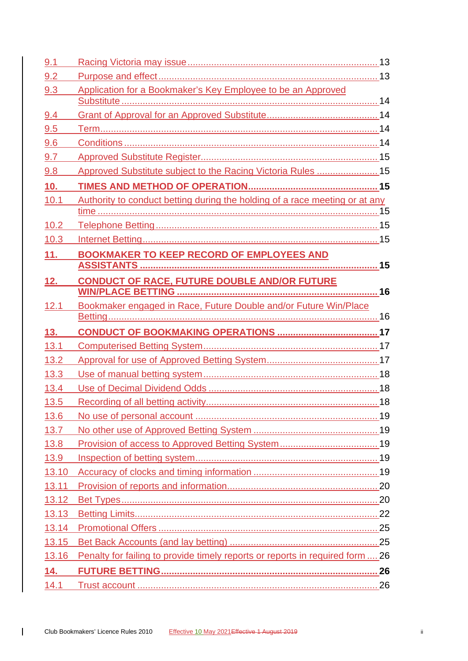| 9.1   |                                                                               |  |
|-------|-------------------------------------------------------------------------------|--|
| 9.2   |                                                                               |  |
| 9.3   | Application for a Bookmaker's Key Employee to be an Approved                  |  |
|       |                                                                               |  |
| 9.4   |                                                                               |  |
| 9.5   |                                                                               |  |
| 9.6   |                                                                               |  |
| 9.7   |                                                                               |  |
| 9.8   | Approved Substitute subject to the Racing Victoria Rules  15                  |  |
| 10.   |                                                                               |  |
| 10.1  | Authority to conduct betting during the holding of a race meeting or at any   |  |
|       |                                                                               |  |
| 10.2  |                                                                               |  |
| 10.3  |                                                                               |  |
| 11.   | <b>BOOKMAKER TO KEEP RECORD OF EMPLOYEES AND</b>                              |  |
|       |                                                                               |  |
| 12.   | <b>CONDUCT OF RACE, FUTURE DOUBLE AND/OR FUTURE</b>                           |  |
|       |                                                                               |  |
| 12.1  | Bookmaker engaged in Race, Future Double and/or Future Win/Place              |  |
|       |                                                                               |  |
|       |                                                                               |  |
| 13.   |                                                                               |  |
| 13.1  |                                                                               |  |
| 13.2  |                                                                               |  |
| 13.3  |                                                                               |  |
| 13.4  |                                                                               |  |
| 13.5  |                                                                               |  |
| 13.6  |                                                                               |  |
| 13.7  |                                                                               |  |
| 13.8  |                                                                               |  |
| 13.9  |                                                                               |  |
| 13.10 |                                                                               |  |
| 13.11 |                                                                               |  |
| 13.12 |                                                                               |  |
| 13.13 |                                                                               |  |
| 13.14 |                                                                               |  |
| 13.15 |                                                                               |  |
| 13.16 | Penalty for failing to provide timely reports or reports in required form  26 |  |
| 14.   |                                                                               |  |
| 14.1  |                                                                               |  |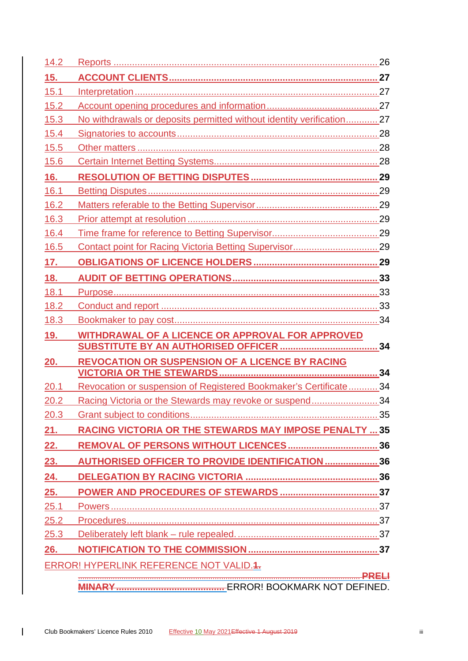| 14.2 |                                                                       |           |
|------|-----------------------------------------------------------------------|-----------|
| 15.  |                                                                       |           |
| 15.1 |                                                                       |           |
| 15.2 |                                                                       |           |
| 15.3 | No withdrawals or deposits permitted without identity verification 27 |           |
| 15.4 |                                                                       |           |
| 15.5 |                                                                       |           |
| 15.6 |                                                                       |           |
| 16.  |                                                                       |           |
| 16.1 |                                                                       |           |
| 16.2 |                                                                       |           |
| 16.3 |                                                                       |           |
| 16.4 |                                                                       |           |
| 16.5 |                                                                       |           |
| 17.  |                                                                       |           |
| 18.  |                                                                       |           |
| 18.1 |                                                                       |           |
| 18.2 |                                                                       |           |
| 18.3 |                                                                       |           |
| 19.  | <b>WITHDRAWAL OF A LICENCE OR APPROVAL FOR APPROVED</b>               |           |
|      |                                                                       |           |
| 20.  | <b>REVOCATION OR SUSPENSION OF A LICENCE BY RACING</b>                |           |
|      |                                                                       |           |
| 20.1 | Revocation or suspension of Registered Bookmaker's Certificate 34     |           |
| 20.2 | Racing Victoria or the Stewards may revoke or suspend 34              |           |
| 20.3 |                                                                       |           |
| 21.  | <b>RACING VICTORIA OR THE STEWARDS MAY IMPOSE PENALTY  35</b>         |           |
| 22.  |                                                                       |           |
| 23.  | <b>AUTHORISED OFFICER TO PROVIDE IDENTIFICATION  36</b>               |           |
| 24.  |                                                                       |           |
| 25.  |                                                                       |           |
| 25.1 |                                                                       |           |
| 25.2 |                                                                       |           |
| 25.3 |                                                                       |           |
| 26.  |                                                                       |           |
|      |                                                                       |           |
|      | <b>ERROR! HYPERLINK REFERENCE NOT VALID.4.</b>                        |           |
|      |                                                                       | $-$ PRELI |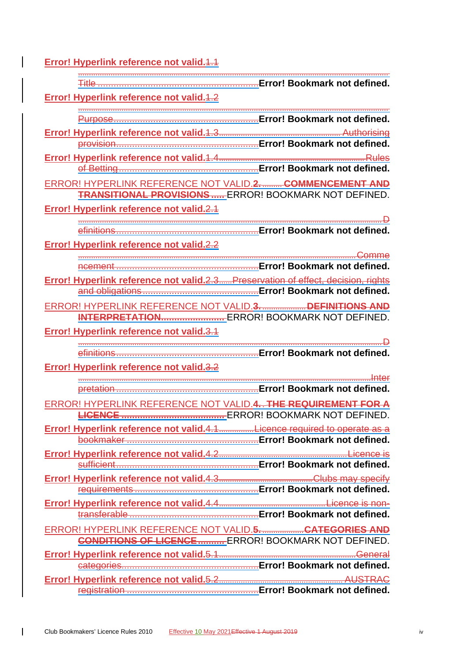**Error! Hyperlink reference not valid.** 4.4 ............................................................................................................................................... Title .............................................................**Error! Bookmark not defined. Error! Hyperlink reference not valid.**1.2 ............................................................................................................................................... Purpose.......................................................**Error! Bookmark not defined. Error! Hyperlink reference not valid.**1.3........................................................ Authorising provision......................................................**Error! Bookmark not defined. Error! Hyperlink reference not valid.**1.4...................................................................Rules of Betting.....................................................**Error! Bookmark not defined.** ERROR! HYPERLINK REFERENCE NOT VALID.**2.** ......... **COMMENCEMENT AND TRANSITIONAL PROVISIONS .....** ERROR! BOOKMARK NOT DEFINED. **Error! Hyperlink reference not valid.**2.1 ............................................................................................................................................D efinitions......................................................**Error! Bookmark not defined. Error! Hyperlink reference not valid.**2.2 ................................................................................................................................Comme ncement ......................................................**Error! Bookmark not defined. Error! Hyperlink reference not valid.**2.3......Preservation of effect, decision, rights and obligations............................................**Error! Bookmark not defined.** ERROR! HYPERLINK REFERENCE NOT VALID.**3.** ....................**DEFINITIONS AND INTERPRETATION........................** ERROR! BOOKMARK NOT DEFINED. **Error! Hyperlink reference not valid.**3.1 ............................................................................................................................................D efinitions......................................................**Error! Bookmark not defined. Error! Hyperlink reference not valid.**3.2 .......................................................................................................................................Inter pretation ......................................................**Error! Bookmark not defined.** ERROR! HYPERLINK REFERENCE NOT VALID.**4.** . **THE REQUIREMENT FOR A LICENCE .......................................** ERROR! BOOKMARK NOT DEFINED. **Error! Hyperlink reference not valid.**4.1................Licence required to operate as a bookmaker ..................................................**Error! Bookmark not defined. Error! Hyperlink reference not valid.**4.2...........................................................Licence is sufficient......................................................**Error! Bookmark not defined. Error! Hyperlink reference not valid.**4.3...........................................Clubs may specify requirements ...............................................**Error! Bookmark not defined. Error! Hyperlink reference not valid.**4.4.................................................Licence is nontransferable .................................................**Error! Bookmark not defined.** ERROR! HYPERLINK REFERENCE NOT VALID.**5.** ...................**CATEGORIES AND CONDITIONS OF LICENCE..........** ERROR! BOOKMARK NOT DEFINED. **Error! Hyperlink reference not valid.**5.1...............................................................General categories....................................................**Error! Bookmark not defined.**

**Error! Hyperlink reference not valid.**5.2......................................................... AUSTRAC registration ..................................................**Error! Bookmark not defined.**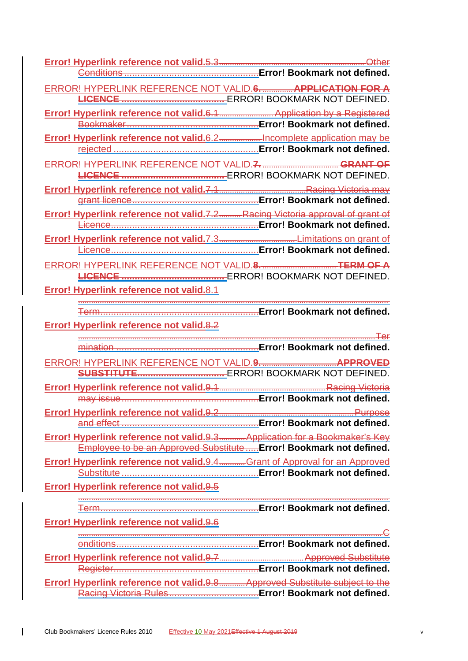| ERROR! HYPERLINK REFERENCE NOT VALID.6. APPLICATION FOR A                     |                                                                   |
|-------------------------------------------------------------------------------|-------------------------------------------------------------------|
|                                                                               |                                                                   |
| Error! Hyperlink reference not valid.6.1 Application by a Registered          |                                                                   |
|                                                                               |                                                                   |
| Error! Hyperlink reference not valid.6.2 Incomplete application may be        |                                                                   |
|                                                                               |                                                                   |
|                                                                               |                                                                   |
|                                                                               |                                                                   |
|                                                                               |                                                                   |
| Error! Hyperlink reference not valid.7.2 Racing Victoria approval of grant of |                                                                   |
|                                                                               |                                                                   |
|                                                                               |                                                                   |
|                                                                               |                                                                   |
| ERROR! HYPERLINK REFERENCE NOT VALID.8. THE THE TERM OF A                     |                                                                   |
|                                                                               |                                                                   |
| <b>Error! Hyperlink reference not valid.8.1</b>                               |                                                                   |
|                                                                               |                                                                   |
|                                                                               |                                                                   |
| Error! Hyperlink reference not valid.8.2                                      |                                                                   |
|                                                                               |                                                                   |
|                                                                               |                                                                   |
|                                                                               |                                                                   |
|                                                                               |                                                                   |
|                                                                               |                                                                   |
|                                                                               |                                                                   |
|                                                                               |                                                                   |
|                                                                               |                                                                   |
| Error! Hyperlink reference not valid.9.3 Application for a Bookmaker's Key    |                                                                   |
|                                                                               | Employee to be an Approved SubstituteError! Bookmark not defined. |
| Error! Hyperlink reference not valid.9.4Grant of Approval for an Approved     |                                                                   |
|                                                                               |                                                                   |
| Error! Hyperlink reference not valid.9.5                                      |                                                                   |
|                                                                               |                                                                   |
| Error! Hyperlink reference not valid. 9.6                                     |                                                                   |
|                                                                               |                                                                   |
|                                                                               |                                                                   |
|                                                                               |                                                                   |
|                                                                               |                                                                   |

 $\overline{1}$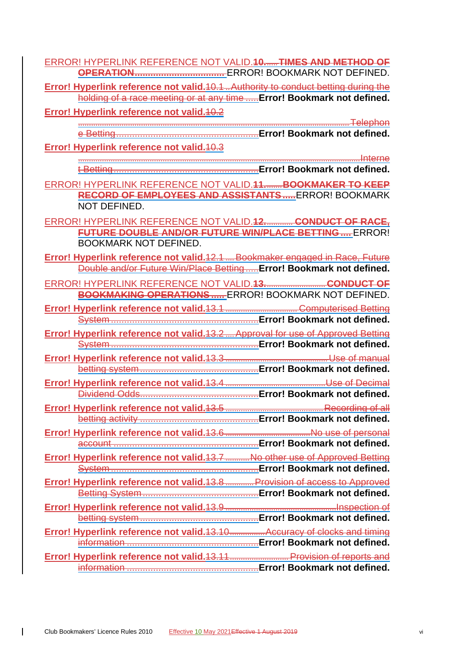| ERROR! HYPERLINK REFERENCE NOT VALID. <del>10TIMES AND METHOD OF</del>                                                                                       |
|--------------------------------------------------------------------------------------------------------------------------------------------------------------|
| <b>Error! Hyperlink reference not valid.</b> 40.1. Authority to conduct betting during the                                                                   |
| holding of a race meeting or at any time  Error! Bookmark not defined.<br><b>Error! Hyperlink reference not valid. 10.2</b>                                  |
|                                                                                                                                                              |
| Error! Hyperlink reference not valid. 40.3                                                                                                                   |
|                                                                                                                                                              |
| ERROR! HYPERLINK REFERENCE NOT VALID. 11 BOOKMAKER TO KEEP<br>RECORD OF EMPLOYEES AND ASSISTANTS ERROR! BOOKMARK                                             |
| <b>NOT DEFINED.</b>                                                                                                                                          |
| ERROR! HYPERLINK REFERENCE NOT VALID. <del>12 CONDUCT OF RACE,</del><br>FUTURE DOUBLE AND/OR FUTURE WIN/PLACE BETTING ERROR!<br><b>BOOKMARK NOT DEFINED.</b> |
| Error! Hyperlink reference not valid. 12.1  Bookmaker engaged in Race, Future<br>Double and/or Future Win/Place Betting Error! Bookmark not defined.         |
| <b>BOOKMAKING OPERATIONS</b> ERROR! BOOKMARK NOT DEFINED.                                                                                                    |
|                                                                                                                                                              |
| <b>Error! Hyperlink reference not valid. 13.2.  Approval for use of Approved Betting</b>                                                                     |
|                                                                                                                                                              |
|                                                                                                                                                              |
|                                                                                                                                                              |
|                                                                                                                                                              |
|                                                                                                                                                              |
| <b>Error! Hyperlink reference not valid. 13.7  No other use of Approved Betting</b>                                                                          |
| Error! Hyperlink reference not valid. 13.8  Provision of access to Approved                                                                                  |
|                                                                                                                                                              |
| Error! Hyperlink reference not valid.13.10 Accuracy of clocks and timing                                                                                     |
|                                                                                                                                                              |
| Error! Hyperlink reference not valid. 13.11 Provision of reports and                                                                                         |

 $\overline{1}$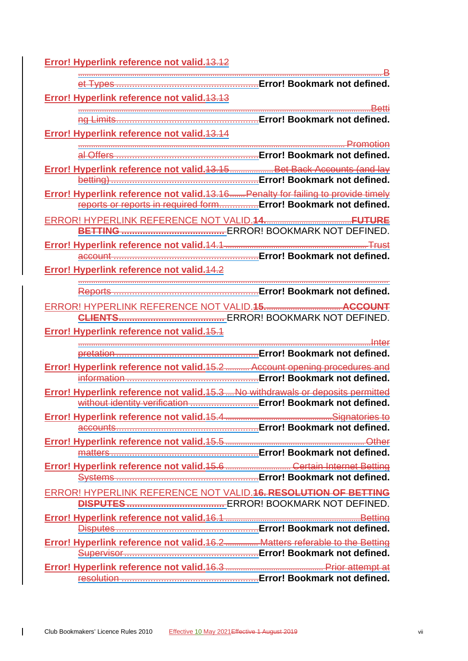**Error! Hyperlink reference not valid.**13.12

| Error! Hyperlink reference not valid. 13.13                                                                                                          |  |
|------------------------------------------------------------------------------------------------------------------------------------------------------|--|
|                                                                                                                                                      |  |
|                                                                                                                                                      |  |
| Error! Hyperlink reference not valid. 13.14                                                                                                          |  |
|                                                                                                                                                      |  |
|                                                                                                                                                      |  |
| Error! Hyperlink reference not valid. 13.15 Bet Back Accounts (and lay                                                                               |  |
|                                                                                                                                                      |  |
| Error! Hyperlink reference not valid.13.16 Penalty for failing to provide timely<br>reports or reports in required form Error! Bookmark not defined. |  |
|                                                                                                                                                      |  |
|                                                                                                                                                      |  |
|                                                                                                                                                      |  |
|                                                                                                                                                      |  |
|                                                                                                                                                      |  |
| Error! Hyperlink reference not valid. 14.2                                                                                                           |  |
|                                                                                                                                                      |  |
|                                                                                                                                                      |  |
|                                                                                                                                                      |  |
| <b>Error! Hyperlink reference not valid. 45.4</b>                                                                                                    |  |
|                                                                                                                                                      |  |
|                                                                                                                                                      |  |
| <b>Error! Hyperlink reference not valid. 15.2 Account opening procedures and</b>                                                                     |  |
|                                                                                                                                                      |  |
| Error! Hyperlink reference not valid. 15.3. No withdrawals or deposits permitted                                                                     |  |
|                                                                                                                                                      |  |
|                                                                                                                                                      |  |
|                                                                                                                                                      |  |
| Error! Hyperlink reference not valid. 15.5 [1994] Error! Hyperlink reference not valid. 15.5                                                         |  |
|                                                                                                                                                      |  |
| Error! Hyperlink reference not valid.15.6  Certain Internet Betting                                                                                  |  |
|                                                                                                                                                      |  |
| ERROR! HYPERLINK REFERENCE NOT VALID. 16. RESOLUTION OF BETTING                                                                                      |  |
|                                                                                                                                                      |  |
|                                                                                                                                                      |  |
|                                                                                                                                                      |  |
|                                                                                                                                                      |  |
|                                                                                                                                                      |  |
|                                                                                                                                                      |  |
|                                                                                                                                                      |  |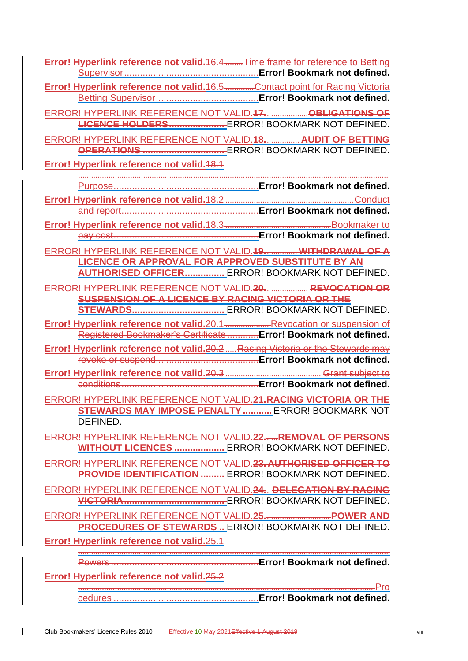**Error! Hyperlink reference not valid.**16.4 ........Time frame for reference to Betting Supervisor...................................................**Error! Bookmark not defined.**

**Error! Hyperlink reference not valid.**16.5 .............Contact point for Racing Victoria Betting Supervisor.......................................**Error! Bookmark not defined.**

ERROR! HYPERLINK REFERENCE NOT VALID.**17.**...................**OBLIGATIONS OF LICENCE HOLDERS.....................** ERROR! BOOKMARK NOT DEFINED.

ERROR! HYPERLINK REFERENCE NOT VALID.**18.**............... **AUDIT OF BETTING OPERATIONS ...............................** ERROR! BOOKMARK NOT DEFINED.

**Error! Hyperlink reference not valid.**18.1

............................................................................................................................................... Purpose.......................................................**Error! Bookmark not defined.**

**Error! Hyperlink reference not valid.**18.2 ...........................................................Conduct and report....................................................**Error! Bookmark not defined.**

**Error! Hyperlink reference not valid.**18.3 ................................................ Bookmaker to pay cost.......................................................**Error! Bookmark not defined.**

ERROR! HYPERLINK REFERENCE NOT VALID.**19.**.............. **WITHDRAWAL OF A LICENCE OR APPROVAL FOR APPROVED SUBSTITUTE BY AN AUTHORISED OFFICER...............** ERROR! BOOKMARK NOT DEFINED.

ERROR! HYPERLINK REFERENCE NOT VALID.**20.**................... **REVOCATION OR SUSPENSION OF A LICENCE BY RACING VICTORIA OR THE** 

**STEWARDS...................................** ERROR! BOOKMARK NOT DEFINED. **Error! Hyperlink reference not valid.**20.1 .................... Revocation or suspension of Registered Bookmaker's Certificate............**Error! Bookmark not defined.**

**Error! Hyperlink reference not valid.**20.2 .....Racing Victoria or the Stewards may revoke or suspend.......................................**Error! Bookmark not defined.**

**Error! Hyperlink reference not valid.**20.3 ............................................ Grant subject to conditions....................................................**Error! Bookmark not defined.**

ERROR! HYPERLINK REFERENCE NOT VALID.**21.RACING VICTORIA OR THE STEWARDS MAY IMPOSE PENALTY...........**ERROR! BOOKMARK NOT DEFINED.

ERROR! HYPERLINK REFERENCE NOT VALID.**22.**.....**REMOVAL OF PERSONS WITHOUT LICENCES ...................** ERROR! BOOKMARK NOT DEFINED.

ERROR! HYPERLINK REFERENCE NOT VALID.**23. AUTHORISED OFFICER TO PROVIDE IDENTIFICATION .........** ERROR! BOOKMARK NOT DEFINED.

ERROR! HYPERLINK REFERENCE NOT VALID.**24.**..**DELEGATION BY RACING VICTORIA......................................** ERROR! BOOKMARK NOT DEFINED.

ERROR! HYPERLINK REFERENCE NOT VALID.**25.**.............................**POWER AND PROCEDURES OF STEWARDS ..** ERROR! BOOKMARK NOT DEFINED.

**Error! Hyperlink reference not valid.**25.1

............................................................................................................................................... Powers ........................................................**Error! Bookmark not defined.**

**Error! Hyperlink reference not valid.**25.2

........................................................................................................................................ Pro cedures .......................................................**Error! Bookmark not defined.**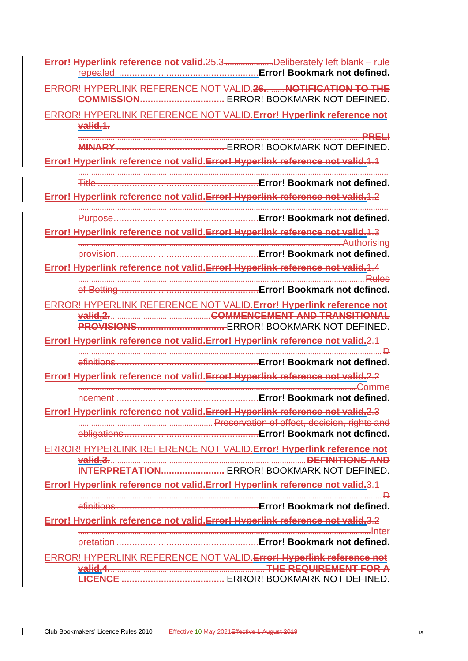| Error! Hyperlink reference not valid.25.3Deliberately left blank - rule         |
|---------------------------------------------------------------------------------|
|                                                                                 |
| ERROR! HYPERLINK REFERENCE NOT VALID.26 NOTIFICATION TO THE                     |
|                                                                                 |
| ERROR! HYPERLINK REFERENCE NOT VALID. Error! Hyperlink reference not            |
| valid.1.                                                                        |
|                                                                                 |
| Error! Hyperlink reference not valid. Error! Hyperlink reference not valid. 1.1 |
|                                                                                 |
| <u></u> Error! Bookmark not defined.                                            |
| Error! Hyperlink reference not valid. Error! Hyperlink reference not valid. 1.2 |
|                                                                                 |
|                                                                                 |
| Error! Hyperlink reference not valid. Error! Hyperlink reference not valid. 1.3 |
|                                                                                 |
| Error! Hyperlink reference not valid. Error! Hyperlink reference not valid. 1.4 |
| <b>Rules</b>                                                                    |
| Error! Bookmark not defined.<br>of Betting                                      |
| ERROR! HYPERLINK REFERENCE NOT VALID. Error! Hyperlink reference not            |
| Valid.2. White COMMENCEMENT AND TRANSITIONAL                                    |
|                                                                                 |
| Error! Hyperlink reference not valid. Error! Hyperlink reference not valid. 2.1 |
| Error! Bookmark not defined.                                                    |
| efinitions                                                                      |
| Error! Hyperlink reference not valid. Error! Hyperlink reference not valid.2.2  |
|                                                                                 |
| Error! Hyperlink reference not valid. Error! Hyperlink reference not valid.2.3  |
|                                                                                 |
|                                                                                 |
| <b>ERROR! HYPERLINK REFERENCE NOT VALID. Error! Hyperlink reference not</b>     |
| valid.3. 2008. The DEFINITIONS AND                                              |
|                                                                                 |
| Error! Hyperlink reference not valid. Error! Hyperlink reference not valid.3.1  |
|                                                                                 |
| Error! Hyperlink reference not valid. Error! Hyperlink reference not valid.3.2  |
|                                                                                 |
|                                                                                 |
|                                                                                 |
|                                                                                 |
| ERROR! HYPERLINK REFERENCE NOT VALID. Error! Hyperlink reference not            |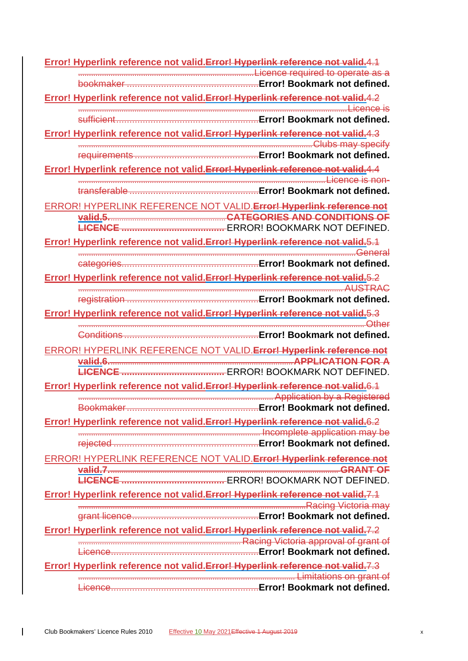**Error! Hyperlink reference not valid.Error! Hyperlink reference not valid.**4.1 .................................................................................Licence required to operate as a bookmaker ..................................................**Error! Bookmark not defined. Error! Hyperlink reference not valid.Error! Hyperlink reference not valid.**4.2 ............................................................................................................................Licence is sufficient......................................................**Error! Bookmark not defined. Error! Hyperlink reference not valid.Error! Hyperlink reference not valid.**4.3 ............................................................................................................Clubs may specify requirements ...............................................**Error! Bookmark not defined. Error! Hyperlink reference not valid.Error! Hyperlink reference not valid.**4.4 ..................................................................................................................Licence is nontransferable .................................................**Error! Bookmark not defined.** ERROR! HYPERLINK REFERENCE NOT VALID.**Error! Hyperlink reference not valid.5.**.....................................................**CATEGORIES AND CONDITIONS OF LICENCE .......................................** ERROR! BOOKMARK NOT DEFINED. **Error! Hyperlink reference not valid.Error! Hyperlink reference not valid.**5.1 ................................................................................................................................General categories....................................................**Error! Bookmark not defined. Error! Hyperlink reference not valid.Error! Hyperlink reference not valid.**5.2 .......................................................................................................................... AUSTRAC registration ..................................................**Error! Bookmark not defined. Error! Hyperlink reference not valid.Error! Hyperlink reference not valid.**5.3 .................................................................................................................................... Other Conditions ...................................................**Error! Bookmark not defined.** ERROR! HYPERLINK REFERENCE NOT VALID.**Error! Hyperlink reference not valid.6.**....................................................................................**APPLICATION FOR A LICENCE .......................................** ERROR! BOOKMARK NOT DEFINED. **Error! Hyperlink reference not valid.Error! Hyperlink reference not valid.**6.1 .......................................................................................... Application by a Registered Bookmaker..................................................**Error! Bookmark not defined. Error! Hyperlink reference not valid.Error! Hyperlink reference not valid.**6.2 .................................................................................... Incomplete application may be rejected .......................................................**Error! Bookmark not defined.** ERROR! HYPERLINK REFERENCE NOT VALID.**Error! Hyperlink reference not valid.7.**......................................................................................................... **GRANT OF LICENCE .......................................** ERROR! BOOKMARK NOT DEFINED. **Error! Hyperlink reference not valid.Error! Hyperlink reference not valid.**7.1 .........................................................................................................Racing Victoria may grant licence................................................**Error! Bookmark not defined. Error! Hyperlink reference not valid.Error! Hyperlink reference not valid.**7.2 ........................................................................... Racing Victoria approval of grant of Licence........................................................**Error! Bookmark not defined. Error! Hyperlink reference not valid.Error! Hyperlink reference not valid.**7.3 .................................................................................................... Limitations on grant of Licence........................................................**Error! Bookmark not defined.**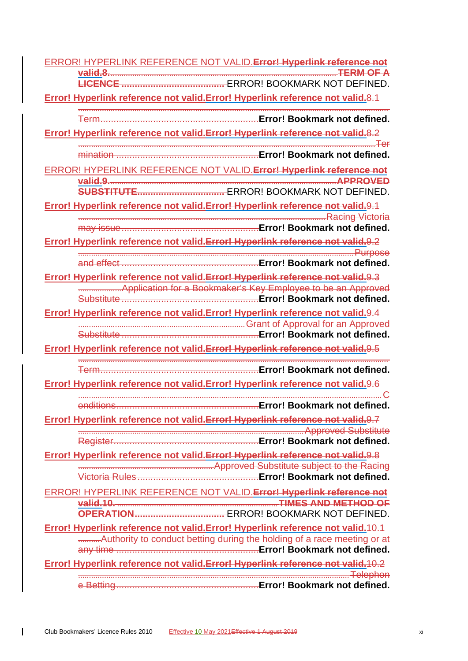| ERROR! HYPERLINK REFERENCE NOT VALID. Error! Hyperlink reference not                      |
|-------------------------------------------------------------------------------------------|
| valid.8. TERM OF A                                                                        |
|                                                                                           |
| Error! Hyperlink reference not valid. Error! Hyperlink reference not valid.8.1            |
|                                                                                           |
| Error! Hyperlink reference not valid. Error! Hyperlink reference not valid. 8.2           |
|                                                                                           |
|                                                                                           |
| ERROR! HYPERLINK REFERENCE NOT VALID. Error! Hyperlink reference not<br>valid.9. APPROVED |
|                                                                                           |
| Error! Hyperlink reference not valid. Error! Hyperlink reference not valid. 9.1           |
|                                                                                           |
| Error! Hyperlink reference not valid. Error! Hyperlink reference not valid. 9.2           |
|                                                                                           |
|                                                                                           |
| Error! Hyperlink reference not valid. Error! Hyperlink reference not valid. 9.3           |
|                                                                                           |
| Error! Hyperlink reference not valid. Error! Hyperlink reference not valid. 9.4           |
|                                                                                           |
|                                                                                           |
| Error! Hyperlink reference not valid. Error! Hyperlink reference not valid. 9.5           |
|                                                                                           |
| Error! Hyperlink reference not valid. Error! Hyperlink reference not valid. 9.6           |
|                                                                                           |
| Error! Bookmark not defined.<br>onditions                                                 |
| Error! Hyperlink reference not valid. Error! Hyperlink reference not valid. 9.7           |
|                                                                                           |
| Error! Hyperlink reference not valid. Error! Hyperlink reference not valid. 9.8           |
|                                                                                           |
|                                                                                           |
| ERROR! HYPERLINK REFERENCE NOT VALID. Error! Hyperlink reference not                      |
| valid.10. 2008. TIMES AND METHOD OF                                                       |
| Error! Hyperlink reference not valid. Error! Hyperlink reference not valid. 10.1          |
| <b>Manufark Authority to conduct betting during the holding of a race meeting or at</b>   |
|                                                                                           |
| Error! Hyperlink reference not valid. Error! Hyperlink reference not valid. 10.2          |
|                                                                                           |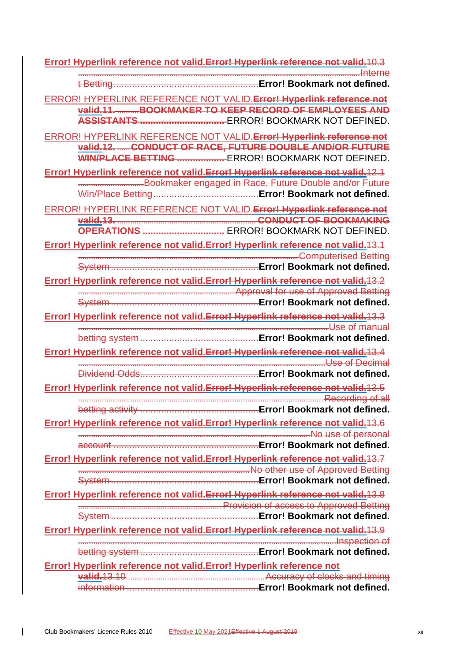| Error! Hyperlink reference not valid. Error! Hyperlink reference not valid. 10.3                                                                                                          |
|-------------------------------------------------------------------------------------------------------------------------------------------------------------------------------------------|
|                                                                                                                                                                                           |
| ERROR! HYPERLINK REFERENCE NOT VALID. Error! Hyperlink reference not<br>valid.11. BOOKMAKER TO KEEP RECORD OF EMPLOYEES AND                                                               |
| ERROR! HYPERLINK REFERENCE NOT VALID. Error! Hyperlink reference not<br>valid.12.  CONDUCT OF RACE, FUTURE DOUBLE AND/OR FUTURE<br><b>WIN/PLACE BETTING </b> ERROR! BOOKMARK NOT DEFINED. |
| Error! Hyperlink reference not valid. Error! Hyperlink reference not valid. 12.1<br>Bookmaker engaged in Race, Future Double and/or Future                                                |
| ERROR! HYPERLINK REFERENCE NOT VALID. Error! Hyperlink reference not<br>Error! Hyperlink reference not valid. Error! Hyperlink reference not valid. 13.1                                  |
|                                                                                                                                                                                           |
| Error! Hyperlink reference not valid. Error! Hyperlink reference not valid. 13.2                                                                                                          |
| Error! Hyperlink reference not valid. Error! Hyperlink reference not valid. 13.3                                                                                                          |
|                                                                                                                                                                                           |
| Error! Hyperlink reference not valid. Error! Hyperlink reference not valid. 13.4                                                                                                          |
| Error! Hyperlink reference not valid. Error! Hyperlink reference not valid. 13.5                                                                                                          |
|                                                                                                                                                                                           |
| Error! Hyperlink reference not valid. Error! Hyperlink reference not valid. 13.6                                                                                                          |
| Error! Hyperlink reference not valid. Error! Hyperlink reference not valid. 13.7<br><b>MO other use of Approved Betting Mo others and all the set of Approved Betting</b>                 |
| Error! Hyperlink reference not valid. Error! Hyperlink reference not valid. 13.8                                                                                                          |
| Entertainment and Trender's Approved Betting                                                                                                                                              |
| Error! Hyperlink reference not valid. Error! Hyperlink reference not valid. 13.9                                                                                                          |
| Error! Hyperlink reference not valid. Error! Hyperlink reference not                                                                                                                      |
|                                                                                                                                                                                           |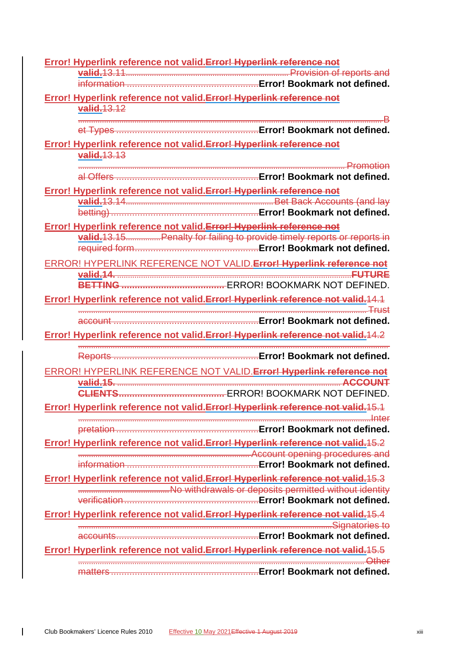| Error! Hyperlink reference not valid. Error! Hyperlink reference not             |
|----------------------------------------------------------------------------------|
|                                                                                  |
| Error! Hyperlink reference not valid. Error! Hyperlink reference not             |
| valid.13.12                                                                      |
|                                                                                  |
|                                                                                  |
| Error! Hyperlink reference not valid. Error! Hyperlink reference not             |
| valid. 13.13                                                                     |
|                                                                                  |
| Error! Hyperlink reference not valid. Error! Hyperlink reference not             |
|                                                                                  |
|                                                                                  |
| Error! Hyperlink reference not valid. Error! Hyperlink reference not             |
| valid. 13.15 Penalty for failing to provide timely reports or reports in         |
|                                                                                  |
| ERROR! HYPERLINK REFERENCE NOT VALID. Error! Hyperlink reference not             |
|                                                                                  |
|                                                                                  |
| Error! Hyperlink reference not valid. Error! Hyperlink reference not valid. 14.1 |
|                                                                                  |
|                                                                                  |
| Error! Hyperlink reference not valid. Error! Hyperlink reference not valid. 14.2 |
|                                                                                  |
| ERROR! HYPERLINK REFERENCE NOT VALID. Error! Hyperlink reference not             |
| valid.15. ACCOUNT                                                                |
|                                                                                  |
| Error! Hyperlink reference not valid. Error! Hyperlink reference not valid. 15.1 |
|                                                                                  |
|                                                                                  |
| Error! Hyperlink reference not valid. Error! Hyperlink reference not valid. 15.2 |
|                                                                                  |
| Error! Hyperlink reference not valid. Error! Hyperlink reference not valid. 15.3 |
| Mo withdrawals or deposits permitted without identity                            |
|                                                                                  |
| Error! Hyperlink reference not valid. Error! Hyperlink reference not valid. 15.4 |
|                                                                                  |
|                                                                                  |
| Error! Hyperlink reference not valid. Error! Hyperlink reference not valid. 15.5 |
|                                                                                  |
|                                                                                  |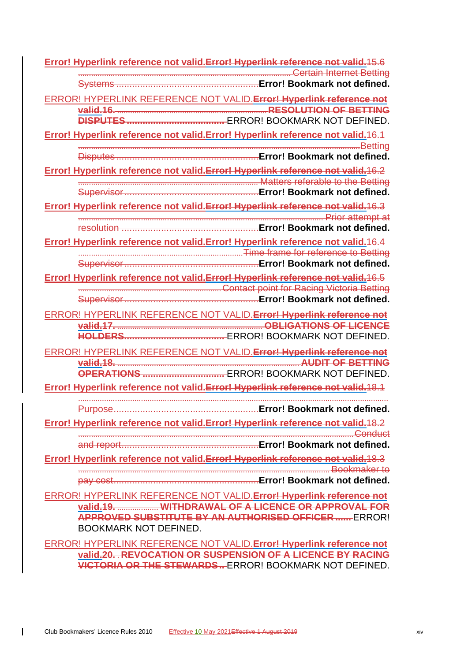**Error! Hyperlink reference not valid.Error! Hyperlink reference not valid.**15.6 .................................................................................................. Certain Internet Betting Systems ......................................................**Error! Bookmark not defined.** ERROR! HYPERLINK REFERENCE NOT VALID.**Error! Hyperlink reference not valid.16.** .....................................................................**RESOLUTION OF BETTING DISPUTES.....................................** ERROR! BOOKMARK NOT DEFINED. **Error! Hyperlink reference not valid.Error! Hyperlink reference not valid.**16.1 ..................................................................................................................................Betting Disputes ......................................................**Error! Bookmark not defined. Error! Hyperlink reference not valid.Error! Hyperlink reference not valid.**16.2 ................................................................................... Matters referable to the Betting Supervisor...................................................**Error! Bookmark not defined. Error! Hyperlink reference not valid.Error! Hyperlink reference not valid.**16.3 ................................................................................................................. Prior attempt at resolution ....................................................**Error! Bookmark not defined. Error! Hyperlink reference not valid.Error! Hyperlink reference not valid.**16.4 ............................................................................Time frame for reference to Betting Supervisor...................................................**Error! Bookmark not defined. Error! Hyperlink reference not valid.Error! Hyperlink reference not valid.**16.5 ..................................................................Contact point for Racing Victoria Betting Supervisor...................................................**Error! Bookmark not defined.** ERROR! HYPERLINK REFERENCE NOT VALID.**Error! Hyperlink reference not valid.17.** ................................................................... **OBLIGATIONS OF LICENCE HOLDERS......................................** ERROR! BOOKMARK NOT DEFINED. ERROR! HYPERLINK REFERENCE NOT VALID.**Error! Hyperlink reference not valid.18.** .................................................................................... **AUDIT OF BETTING OPERATIONS ...............................** ERROR! BOOKMARK NOT DEFINED. **Error! Hyperlink reference not valid.Error! Hyperlink reference not valid.**18.1 ............................................................................................................................................... Purpose.......................................................**Error! Bookmark not defined. Error! Hyperlink reference not valid.Error! Hyperlink reference not valid.**18.2 ...............................................................................................................................Conduct and report....................................................**Error! Bookmark not defined. Error! Hyperlink reference not valid.Error! Hyperlink reference not valid.**18.3 .................................................................................................................... Bookmaker to pay cost.......................................................**Error! Bookmark not defined.** ERROR! HYPERLINK REFERENCE NOT VALID.**Error! Hyperlink reference not valid.19.** ................... **WITHDRAWAL OF A LICENCE OR APPROVAL FOR APPROVED SUBSTITUTE BY AN AUTHORISED OFFICER ......** ERROR! BOOKMARK NOT DEFINED. ERROR! HYPERLINK REFERENCE NOT VALID.**Error! Hyperlink reference not** 

**valid.20.** . **REVOCATION OR SUSPENSION OF A LICENCE BY RACING VICTORIA OR THE STEWARDS..** ERROR! BOOKMARK NOT DEFINED.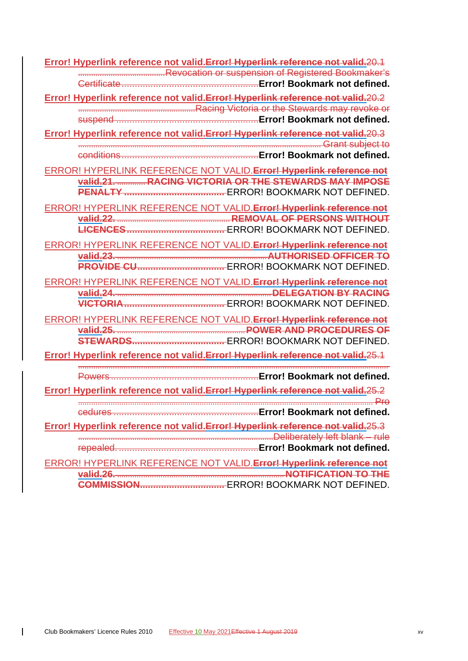**Error! Hyperlink reference not valid.Error! Hyperlink reference not valid.**20.1 ........................................Revocation or suspension of Registered Bookmaker's Certificate....................................................**Error! Bookmark not defined. Error! Hyperlink reference not valid.Error! Hyperlink reference not valid.**20.2 ......................................................Racing Victoria or the Stewards may revoke or suspend ......................................................**Error! Bookmark not defined. Error! Hyperlink reference not valid.Error! Hyperlink reference not valid.**20.3 ................................................................................................................ Grant subject to conditions....................................................**Error! Bookmark not defined.** ERROR! HYPERLINK REFERENCE NOT VALID.**Error! Hyperlink reference not valid.21.** ............. **RACING VICTORIA OR THE STEWARDS MAY IMPOSE PENALTY ......................................** ERROR! BOOKMARK NOT DEFINED. ERROR! HYPERLINK REFERENCE NOT VALID.**Error! Hyperlink reference not valid.22.** .................................................... **REMOVAL OF PERSONS WITHOUT LICENCES.....................................** ERROR! BOOKMARK NOT DEFINED. ERROR! HYPERLINK REFERENCE NOT VALID.**Error! Hyperlink reference not valid.23.** .....................................................................**AUTHORISED OFFICER TO PROVIDE CU.................................** ERROR! BOOKMARK NOT DEFINED. ERROR! HYPERLINK REFERENCE NOT VALID.**Error! Hyperlink reference not valid.24.** .......................................................................**DELEGATION BY RACING VICTORIA......................................** ERROR! BOOKMARK NOT DEFINED. ERROR! HYPERLINK REFERENCE NOT VALID.**Error! Hyperlink reference not valid.25.** ...........................................................**POWER AND PROCEDURES OF STEWARDS...................................** ERROR! BOOKMARK NOT DEFINED. **Error! Hyperlink reference not valid.Error! Hyperlink reference not valid.**25.1 ............................................................................................................................................... Powers ........................................................**Error! Bookmark not defined. Error! Hyperlink reference not valid.Error! Hyperlink reference not valid.**25.2 ........................................................................................................................................ Pro cedures .......................................................**Error! Bookmark not defined. Error! Hyperlink reference not valid.Error! Hyperlink reference not valid.**25.3 ..........................................................................................Deliberately left blank – rule repealed. .....................................................**Error! Bookmark not defined.** ERROR! HYPERLINK REFERENCE NOT VALID.**Error! Hyperlink reference not valid.26.** .............................................................................**NOTIFICATION TO THE COMMISSION................................** ERROR! BOOKMARK NOT DEFINED.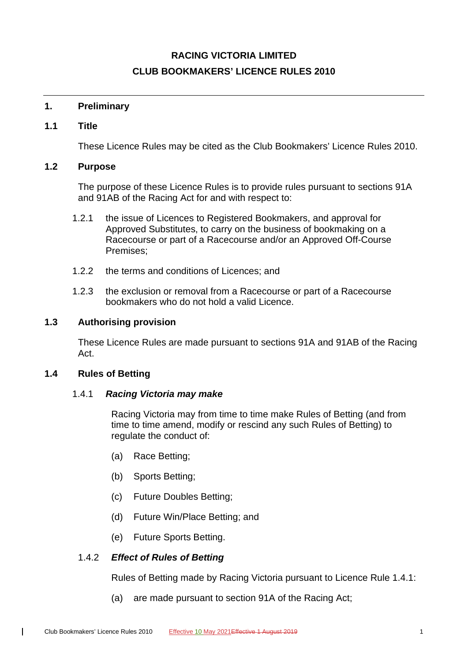# **RACING VICTORIA LIMITED CLUB BOOKMAKERS' LICENCE RULES 2010**

# <span id="page-16-1"></span><span id="page-16-0"></span>**1. Preliminary**

# **1.1 Title**

These Licence Rules may be cited as the Club Bookmakers' Licence Rules 2010.

# <span id="page-16-2"></span>**1.2 Purpose**

The purpose of these Licence Rules is to provide rules pursuant to sections 91A and 91AB of the Racing Act for and with respect to:

- 1.2.1 the issue of Licences to Registered Bookmakers, and approval for Approved Substitutes, to carry on the business of bookmaking on a Racecourse or part of a Racecourse and/or an Approved Off-Course Premises;
- 1.2.2 the terms and conditions of Licences; and
- 1.2.3 the exclusion or removal from a Racecourse or part of a Racecourse bookmakers who do not hold a valid Licence.

# <span id="page-16-3"></span>**1.3 Authorising provision**

These Licence Rules are made pursuant to sections 91A and 91AB of the Racing Act.

# <span id="page-16-5"></span><span id="page-16-4"></span>**1.4 Rules of Betting**

 $\mathbf{I}$ 

#### 1.4.1 *Racing Victoria may make*

Racing Victoria may from time to time make Rules of Betting (and from time to time amend, modify or rescind any such Rules of Betting) to regulate the conduct of:

- (a) Race Betting;
- (b) Sports Betting;
- (c) Future Doubles Betting;
- (d) Future Win/Place Betting; and
- (e) Future Sports Betting.

# 1.4.2 *Effect of Rules of Betting*

Rules of Betting made by Racing Victoria pursuant to Licence Rule [1.4.1:](#page-16-5)

(a) are made pursuant to section 91A of the Racing Act;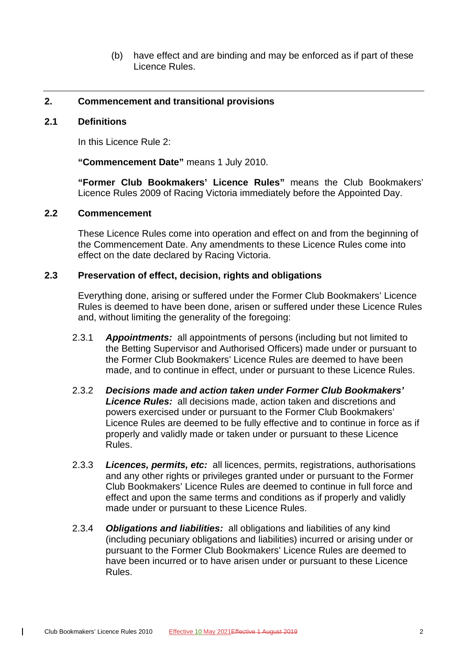(b) have effect and are binding and may be enforced as if part of these Licence Rules.

#### <span id="page-17-1"></span><span id="page-17-0"></span>**2. Commencement and transitional provisions**

#### **2.1 Definitions**

In this Licence Rule [2:](#page-17-0)

**"Commencement Date"** means 1 July 2010.

**"Former Club Bookmakers' Licence Rules"** means the Club Bookmakers' Licence Rules 2009 of Racing Victoria immediately before the Appointed Day.

#### <span id="page-17-2"></span>**2.2 Commencement**

These Licence Rules come into operation and effect on and from the beginning of the Commencement Date. Any amendments to these Licence Rules come into effect on the date declared by Racing Victoria.

#### <span id="page-17-3"></span>**2.3 Preservation of effect, decision, rights and obligations**

Everything done, arising or suffered under the Former Club Bookmakers' Licence Rules is deemed to have been done, arisen or suffered under these Licence Rules and, without limiting the generality of the foregoing:

- 2.3.1 *Appointments:* all appointments of persons (including but not limited to the Betting Supervisor and Authorised Officers) made under or pursuant to the Former Club Bookmakers' Licence Rules are deemed to have been made, and to continue in effect, under or pursuant to these Licence Rules.
- 2.3.2 *Decisions made and action taken under Former Club Bookmakers' Licence Rules:* all decisions made, action taken and discretions and powers exercised under or pursuant to the Former Club Bookmakers' Licence Rules are deemed to be fully effective and to continue in force as if properly and validly made or taken under or pursuant to these Licence Rules.
- 2.3.3 *Licences, permits, etc:* all licences, permits, registrations, authorisations and any other rights or privileges granted under or pursuant to the Former Club Bookmakers' Licence Rules are deemed to continue in full force and effect and upon the same terms and conditions as if properly and validly made under or pursuant to these Licence Rules.
- 2.3.4 *Obligations and liabilities:* all obligations and liabilities of any kind (including pecuniary obligations and liabilities) incurred or arising under or pursuant to the Former Club Bookmakers' Licence Rules are deemed to have been incurred or to have arisen under or pursuant to these Licence Rules.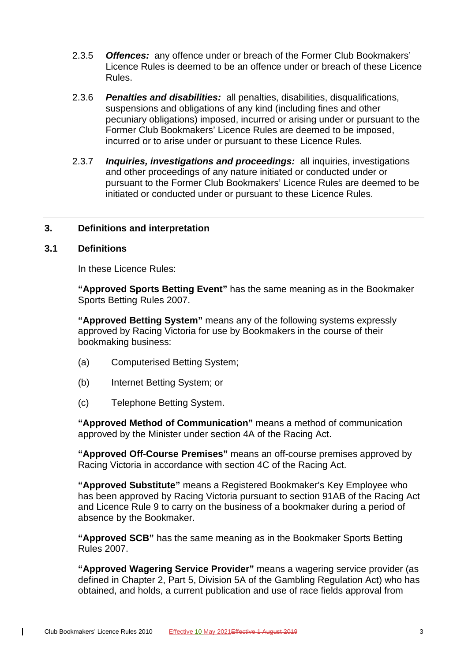- 2.3.5 *Offences:* any offence under or breach of the Former Club Bookmakers' Licence Rules is deemed to be an offence under or breach of these Licence Rules.
- 2.3.6 *Penalties and disabilities:* all penalties, disabilities, disqualifications, suspensions and obligations of any kind (including fines and other pecuniary obligations) imposed, incurred or arising under or pursuant to the Former Club Bookmakers' Licence Rules are deemed to be imposed, incurred or to arise under or pursuant to these Licence Rules.
- 2.3.7 *Inquiries, investigations and proceedings:* all inquiries, investigations and other proceedings of any nature initiated or conducted under or pursuant to the Former Club Bookmakers' Licence Rules are deemed to be initiated or conducted under or pursuant to these Licence Rules.

#### <span id="page-18-1"></span><span id="page-18-0"></span>**3. Definitions and interpretation**

#### **3.1 Definitions**

 $\mathbf{I}$ 

In these Licence Rules:

**"Approved Sports Betting Event"** has the same meaning as in the Bookmaker Sports Betting Rules 2007.

**"Approved Betting System"** means any of the following systems expressly approved by Racing Victoria for use by Bookmakers in the course of their bookmaking business:

- (a) Computerised Betting System;
- (b) Internet Betting System; or
- (c) Telephone Betting System.

**"Approved Method of Communication"** means a method of communication approved by the Minister under section 4A of the Racing Act.

**"Approved Off-Course Premises"** means an off-course premises approved by Racing Victoria in accordance with section 4C of the Racing Act.

**"Approved Substitute"** means a Registered Bookmaker's Key Employee who has been approved by Racing Victoria pursuant to section 91AB of the Racing Act and Licence Rule [9](#page-28-4) to carry on the business of a bookmaker during a period of absence by the Bookmaker.

**"Approved SCB"** has the same meaning as in the Bookmaker Sports Betting Rules 2007.

**"Approved Wagering Service Provider"** means a wagering service provider (as defined in Chapter 2, Part 5, Division 5A of the Gambling Regulation Act) who has obtained, and holds, a current publication and use of race fields approval from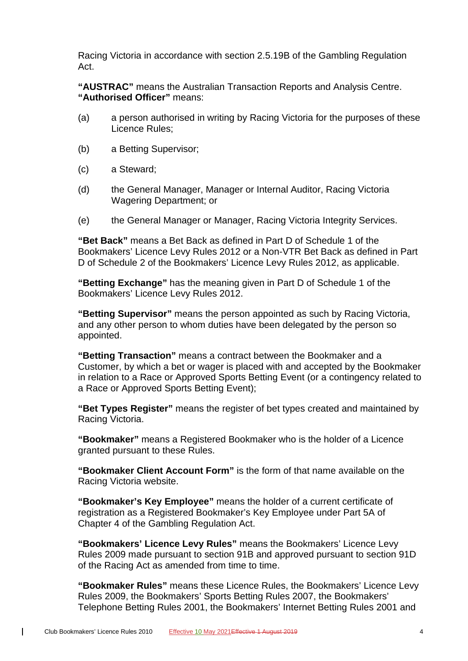Racing Victoria in accordance with section 2.5.19B of the Gambling Regulation Act.

**"AUSTRAC"** means the Australian Transaction Reports and Analysis Centre. **"Authorised Officer"** means:

- (a) a person authorised in writing by Racing Victoria for the purposes of these Licence Rules;
- (b) a Betting Supervisor;
- (c) a Steward;
- (d) the General Manager, Manager or Internal Auditor, Racing Victoria Wagering Department; or
- (e) the General Manager or Manager, Racing Victoria Integrity Services.

**"Bet Back"** means a Bet Back as defined in Part D of Schedule 1 of the Bookmakers' Licence Levy Rules 2012 or a Non-VTR Bet Back as defined in Part D of Schedule 2 of the Bookmakers' Licence Levy Rules 2012, as applicable.

**"Betting Exchange"** has the meaning given in Part D of Schedule 1 of the Bookmakers' Licence Levy Rules 2012.

**"Betting Supervisor"** means the person appointed as such by Racing Victoria, and any other person to whom duties have been delegated by the person so appointed.

**"Betting Transaction"** means a contract between the Bookmaker and a Customer, by which a bet or wager is placed with and accepted by the Bookmaker in relation to a Race or Approved Sports Betting Event (or a contingency related to a Race or Approved Sports Betting Event);

**"Bet Types Register"** means the register of bet types created and maintained by Racing Victoria.

**"Bookmaker"** means a Registered Bookmaker who is the holder of a Licence granted pursuant to these Rules.

**"Bookmaker Client Account Form"** is the form of that name available on the Racing Victoria website.

**"Bookmaker's Key Employee"** means the holder of a current certificate of registration as a Registered Bookmaker's Key Employee under Part 5A of Chapter 4 of the Gambling Regulation Act.

**"Bookmakers' Licence Levy Rules"** means the Bookmakers' Licence Levy Rules 2009 made pursuant to section 91B and approved pursuant to section 91D of the Racing Act as amended from time to time.

**"Bookmaker Rules"** means these Licence Rules, the Bookmakers' Licence Levy Rules 2009, the Bookmakers' Sports Betting Rules 2007, the Bookmakers' Telephone Betting Rules 2001, the Bookmakers' Internet Betting Rules 2001 and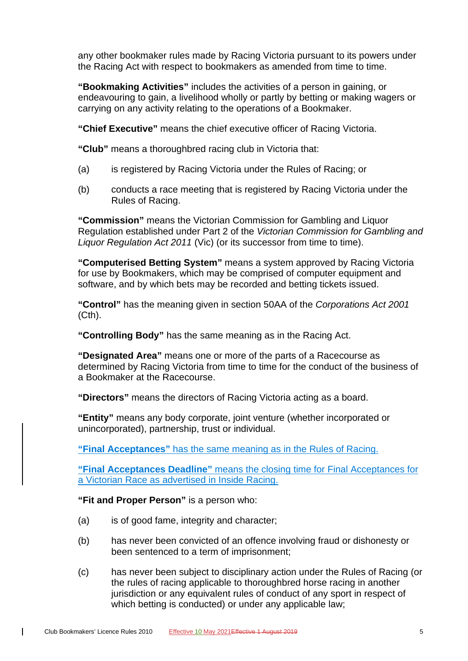any other bookmaker rules made by Racing Victoria pursuant to its powers under the Racing Act with respect to bookmakers as amended from time to time.

**"Bookmaking Activities"** includes the activities of a person in gaining, or endeavouring to gain, a livelihood wholly or partly by betting or making wagers or carrying on any activity relating to the operations of a Bookmaker.

**"Chief Executive"** means the chief executive officer of Racing Victoria.

**"Club"** means a thoroughbred racing club in Victoria that:

- (a) is registered by Racing Victoria under the Rules of Racing; or
- (b) conducts a race meeting that is registered by Racing Victoria under the Rules of Racing.

**"Commission"** means the Victorian Commission for Gambling and Liquor Regulation established under Part 2 of the *Victorian Commission for Gambling and Liquor Regulation Act 2011* (Vic) (or its successor from time to time).

**"Computerised Betting System"** means a system approved by Racing Victoria for use by Bookmakers, which may be comprised of computer equipment and software, and by which bets may be recorded and betting tickets issued.

**"Control"** has the meaning given in section 50AA of the *Corporations Act 2001* (Cth).

**"Controlling Body"** has the same meaning as in the Racing Act.

**"Designated Area"** means one or more of the parts of a Racecourse as determined by Racing Victoria from time to time for the conduct of the business of a Bookmaker at the Racecourse.

**"Directors"** means the directors of Racing Victoria acting as a board.

**"Entity"** means any body corporate, joint venture (whether incorporated or unincorporated), partnership, trust or individual.

**"Final Acceptances"** has the same meaning as in the Rules of Racing.

**"Final Acceptances Deadline"** means the closing time for Final Acceptances for a Victorian Race as advertised in Inside Racing.

**"Fit and Proper Person"** is a person who:

- (a) is of good fame, integrity and character;
- (b) has never been convicted of an offence involving fraud or dishonesty or been sentenced to a term of imprisonment;
- (c) has never been subject to disciplinary action under the Rules of Racing (or the rules of racing applicable to thoroughbred horse racing in another jurisdiction or any equivalent rules of conduct of any sport in respect of which betting is conducted) or under any applicable law;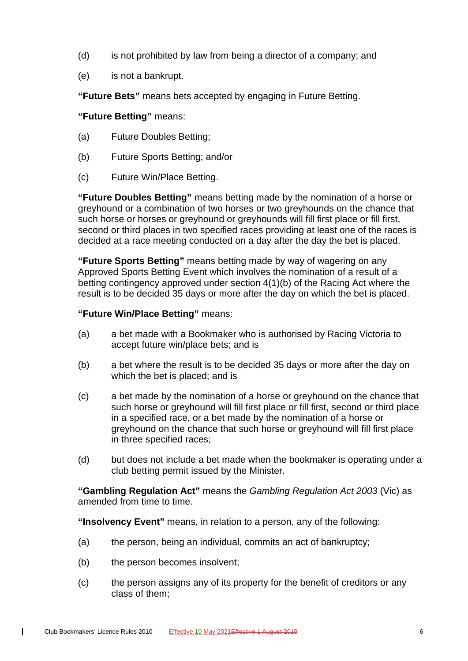- (d) is not prohibited by law from being a director of a company; and
- (e) is not a bankrupt.

**"Future Bets"** means bets accepted by engaging in Future Betting.

# **"Future Betting"** means:

- (a) Future Doubles Betting;
- (b) Future Sports Betting; and/or
- (c) Future Win/Place Betting.

**"Future Doubles Betting"** means betting made by the nomination of a horse or greyhound or a combination of two horses or two greyhounds on the chance that such horse or horses or greyhound or greyhounds will fill first place or fill first, second or third places in two specified races providing at least one of the races is decided at a race meeting conducted on a day after the day the bet is placed.

**"Future Sports Betting"** means betting made by way of wagering on any Approved Sports Betting Event which involves the nomination of a result of a betting contingency approved under section 4(1)(b) of the Racing Act where the result is to be decided 35 days or more after the day on which the bet is placed.

# **"Future Win/Place Betting"** means:

- (a) a bet made with a Bookmaker who is authorised by Racing Victoria to accept future win/place bets; and is
- (b) a bet where the result is to be decided 35 days or more after the day on which the bet is placed; and is
- (c) a bet made by the nomination of a horse or greyhound on the chance that such horse or greyhound will fill first place or fill first, second or third place in a specified race, or a bet made by the nomination of a horse or greyhound on the chance that such horse or greyhound will fill first place in three specified races;
- (d) but does not include a bet made when the bookmaker is operating under a club betting permit issued by the Minister.

**"Gambling Regulation Act"** means the *Gambling Regulation Act 2003* (Vic) as amended from time to time.

**"Insolvency Event"** means, in relation to a person, any of the following:

- (a) the person, being an individual, commits an act of bankruptcy;
- (b) the person becomes insolvent;
- (c) the person assigns any of its property for the benefit of creditors or any class of them;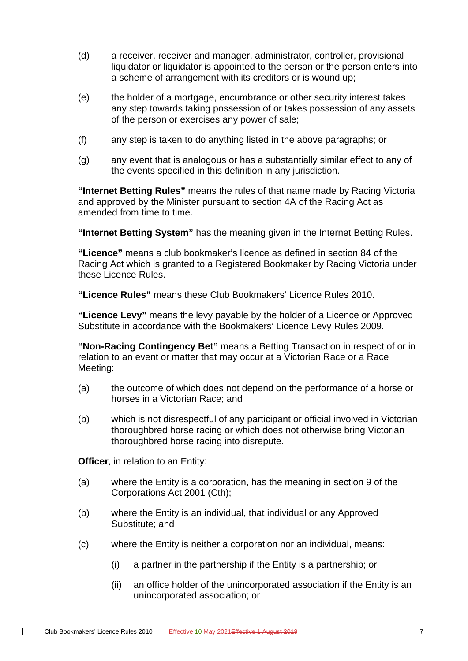- (d) a receiver, receiver and manager, administrator, controller, provisional liquidator or liquidator is appointed to the person or the person enters into a scheme of arrangement with its creditors or is wound up;
- (e) the holder of a mortgage, encumbrance or other security interest takes any step towards taking possession of or takes possession of any assets of the person or exercises any power of sale;
- (f) any step is taken to do anything listed in the above paragraphs; or
- (g) any event that is analogous or has a substantially similar effect to any of the events specified in this definition in any jurisdiction.

**"Internet Betting Rules"** means the rules of that name made by Racing Victoria and approved by the Minister pursuant to section 4A of the Racing Act as amended from time to time.

**"Internet Betting System"** has the meaning given in the Internet Betting Rules.

**"Licence"** means a club bookmaker's licence as defined in section 84 of the Racing Act which is granted to a Registered Bookmaker by Racing Victoria under these Licence Rules.

**"Licence Rules"** means these Club Bookmakers' Licence Rules 2010.

**"Licence Levy"** means the levy payable by the holder of a Licence or Approved Substitute in accordance with the Bookmakers' Licence Levy Rules 2009.

**"Non-Racing Contingency Bet"** means a Betting Transaction in respect of or in relation to an event or matter that may occur at a Victorian Race or a Race Meeting:

- (a) the outcome of which does not depend on the performance of a horse or horses in a Victorian Race; and
- (b) which is not disrespectful of any participant or official involved in Victorian thoroughbred horse racing or which does not otherwise bring Victorian thoroughbred horse racing into disrepute.

**Officer**, in relation to an Entity:

- (a) where the Entity is a corporation, has the meaning in section 9 of the Corporations Act 2001 (Cth);
- (b) where the Entity is an individual, that individual or any Approved Substitute; and
- (c) where the Entity is neither a corporation nor an individual, means:
	- (i) a partner in the partnership if the Entity is a partnership; or
	- (ii) an office holder of the unincorporated association if the Entity is an unincorporated association; or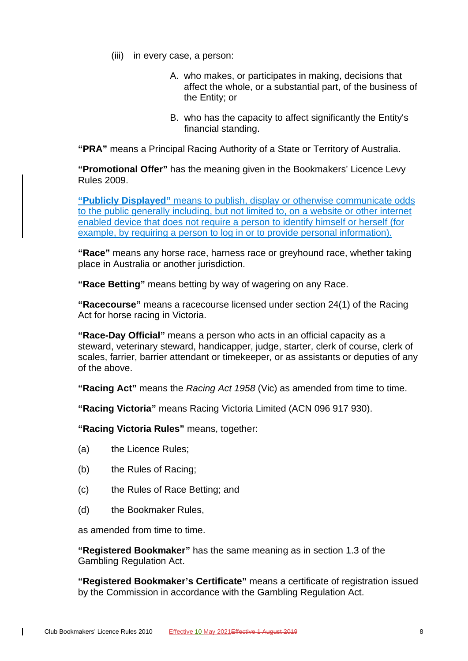- (iii) in every case, a person:
	- A. who makes, or participates in making, decisions that affect the whole, or a substantial part, of the business of the Entity; or
	- B. who has the capacity to affect significantly the Entity's financial standing.

**"PRA"** means a Principal Racing Authority of a State or Territory of Australia.

**"Promotional Offer"** has the meaning given in the Bookmakers' Licence Levy Rules 2009.

**"Publicly Displayed"** means to publish, display or otherwise communicate odds to the public generally including, but not limited to, on a website or other internet enabled device that does not require a person to identify himself or herself (for example, by requiring a person to log in or to provide personal information).

**"Race"** means any horse race, harness race or greyhound race, whether taking place in Australia or another jurisdiction.

**"Race Betting"** means betting by way of wagering on any Race.

**"Racecourse"** means a racecourse licensed under section 24(1) of the Racing Act for horse racing in Victoria.

**"Race-Day Official"** means a person who acts in an official capacity as a steward, veterinary steward, handicapper, judge, starter, clerk of course, clerk of scales, farrier, barrier attendant or timekeeper, or as assistants or deputies of any of the above.

**"Racing Act"** means the *Racing Act 1958* (Vic) as amended from time to time.

**"Racing Victoria"** means Racing Victoria Limited (ACN 096 917 930).

**"Racing Victoria Rules"** means, together:

- (a) the Licence Rules;
- (b) the Rules of Racing;
- (c) the Rules of Race Betting; and
- (d) the Bookmaker Rules,

as amended from time to time.

 $\mathbf{I}$ 

**"Registered Bookmaker"** has the same meaning as in section 1.3 of the Gambling Regulation Act.

**"Registered Bookmaker's Certificate"** means a certificate of registration issued by the Commission in accordance with the Gambling Regulation Act.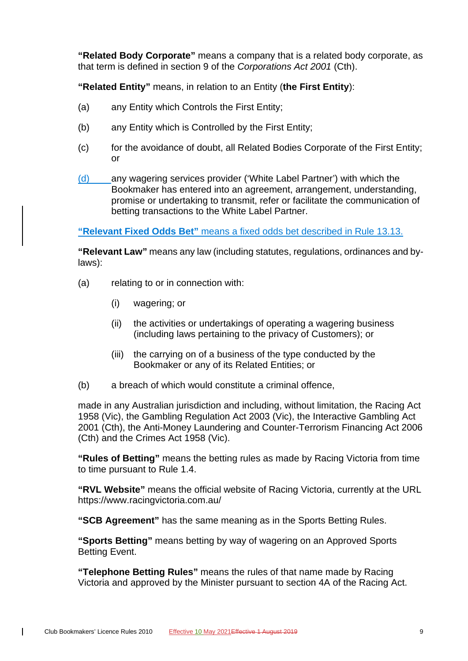**"Related Body Corporate"** means a company that is a related body corporate, as that term is defined in section 9 of the *Corporations Act 2001* (Cth).

**"Related Entity"** means, in relation to an Entity (**the First Entity**):

- (a) any Entity which Controls the First Entity;
- (b) any Entity which is Controlled by the First Entity;
- (c) for the avoidance of doubt, all Related Bodies Corporate of the First Entity; or
- (d) any wagering services provider ('White Label Partner') with which the Bookmaker has entered into an agreement, arrangement, understanding, promise or undertaking to transmit, refer or facilitate the communication of betting transactions to the White Label Partner.

**"Relevant Fixed Odds Bet"** means a fixed odds bet described in Rule 13.13.

**"Relevant Law"** means any law (including statutes, regulations, ordinances and bylaws):

- (a) relating to or in connection with:
	- (i) wagering; or
	- (ii) the activities or undertakings of operating a wagering business (including laws pertaining to the privacy of Customers); or
	- (iii) the carrying on of a business of the type conducted by the Bookmaker or any of its Related Entities; or
- (b) a breach of which would constitute a criminal offence,

made in any Australian jurisdiction and including, without limitation, the Racing Act 1958 (Vic), the Gambling Regulation Act 2003 (Vic), the Interactive Gambling Act 2001 (Cth), the Anti-Money Laundering and Counter-Terrorism Financing Act 2006 (Cth) and the Crimes Act 1958 (Vic).

**"Rules of Betting"** means the betting rules as made by Racing Victoria from time to time pursuant to Rule [1.4.](#page-16-4)

**"RVL Website"** means the official website of Racing Victoria, currently at the URL https://www.racingvictoria.com.au/

**"SCB Agreement"** has the same meaning as in the Sports Betting Rules.

**"Sports Betting"** means betting by way of wagering on an Approved Sports Betting Event.

**"Telephone Betting Rules"** means the rules of that name made by Racing Victoria and approved by the Minister pursuant to section 4A of the Racing Act.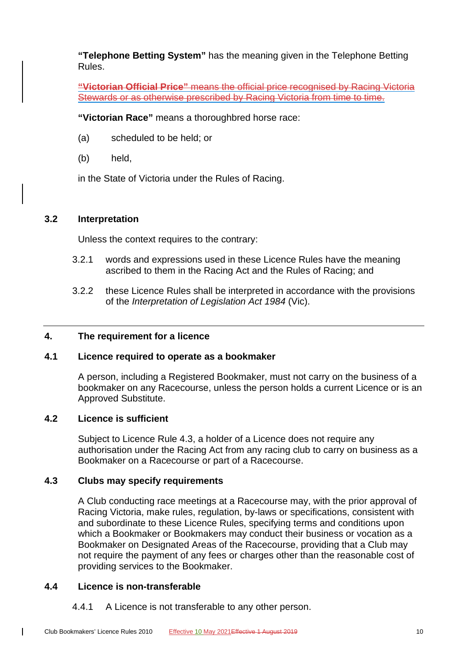**"Telephone Betting System"** has the meaning given in the Telephone Betting Rules.

**"Victorian Official Price"** means the official price recognised by Racing Victoria Stewards or as otherwise prescribed by Racing Victoria from time to time.

**"Victorian Race"** means a thoroughbred horse race:

- (a) scheduled to be held; or
- (b) held,

in the State of Victoria under the Rules of Racing.

#### <span id="page-25-0"></span>**3.2 Interpretation**

Unless the context requires to the contrary:

- 3.2.1 words and expressions used in these Licence Rules have the meaning ascribed to them in the Racing Act and the Rules of Racing; and
- 3.2.2 these Licence Rules shall be interpreted in accordance with the provisions of the *Interpretation of Legislation Act 1984* (Vic).

# <span id="page-25-2"></span><span id="page-25-1"></span>**4. The requirement for a licence**

# **4.1 Licence required to operate as a bookmaker**

A person, including a Registered Bookmaker, must not carry on the business of a bookmaker on any Racecourse, unless the person holds a current Licence or is an Approved Substitute.

# <span id="page-25-3"></span>**4.2 Licence is sufficient**

Subject to Licence Rule [4.3,](#page-25-4) a holder of a Licence does not require any authorisation under the Racing Act from any racing club to carry on business as a Bookmaker on a Racecourse or part of a Racecourse.

#### <span id="page-25-4"></span>**4.3 Clubs may specify requirements**

A Club conducting race meetings at a Racecourse may, with the prior approval of Racing Victoria, make rules, regulation, by-laws or specifications, consistent with and subordinate to these Licence Rules, specifying terms and conditions upon which a Bookmaker or Bookmakers may conduct their business or vocation as a Bookmaker on Designated Areas of the Racecourse, providing that a Club may not require the payment of any fees or charges other than the reasonable cost of providing services to the Bookmaker.

#### <span id="page-25-5"></span>**4.4 Licence is non-transferable**

 $\overline{\phantom{a}}$ 

4.4.1 A Licence is not transferable to any other person.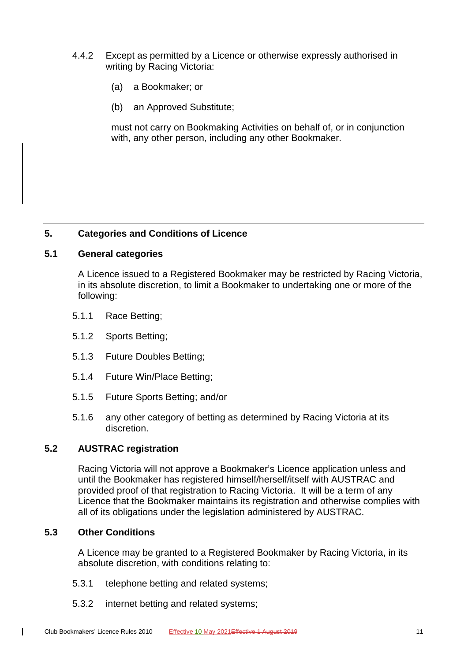- 4.4.2 Except as permitted by a Licence or otherwise expressly authorised in writing by Racing Victoria:
	- (a) a Bookmaker; or
	- (b) an Approved Substitute;

must not carry on Bookmaking Activities on behalf of, or in conjunction with, any other person, including any other Bookmaker.

# <span id="page-26-1"></span><span id="page-26-0"></span>**5. Categories and Conditions of Licence**

#### **5.1 General categories**

A Licence issued to a Registered Bookmaker may be restricted by Racing Victoria, in its absolute discretion, to limit a Bookmaker to undertaking one or more of the following:

- 5.1.1 Race Betting;
- 5.1.2 Sports Betting;
- 5.1.3 Future Doubles Betting;
- 5.1.4 Future Win/Place Betting;
- 5.1.5 Future Sports Betting; and/or
- 5.1.6 any other category of betting as determined by Racing Victoria at its discretion.

#### <span id="page-26-2"></span>**5.2 AUSTRAC registration**

Racing Victoria will not approve a Bookmaker's Licence application unless and until the Bookmaker has registered himself/herself/itself with AUSTRAC and provided proof of that registration to Racing Victoria. It will be a term of any Licence that the Bookmaker maintains its registration and otherwise complies with all of its obligations under the legislation administered by AUSTRAC.

# <span id="page-26-3"></span>**5.3 Other Conditions**

 $\overline{\phantom{a}}$ 

A Licence may be granted to a Registered Bookmaker by Racing Victoria, in its absolute discretion, with conditions relating to:

- 5.3.1 telephone betting and related systems;
- 5.3.2 internet betting and related systems;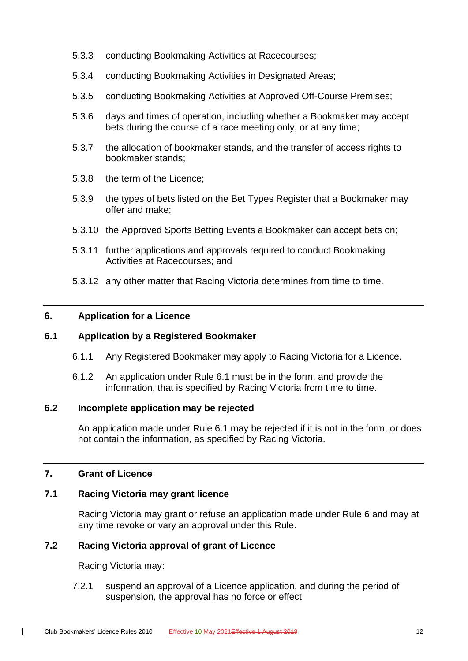- 5.3.3 conducting Bookmaking Activities at Racecourses;
- 5.3.4 conducting Bookmaking Activities in Designated Areas;
- 5.3.5 conducting Bookmaking Activities at Approved Off-Course Premises;
- 5.3.6 days and times of operation, including whether a Bookmaker may accept bets during the course of a race meeting only, or at any time;
- 5.3.7 the allocation of bookmaker stands, and the transfer of access rights to bookmaker stands;
- 5.3.8 the term of the Licence;
- 5.3.9 the types of bets listed on the Bet Types Register that a Bookmaker may offer and make;
- 5.3.10 the Approved Sports Betting Events a Bookmaker can accept bets on;
- 5.3.11 further applications and approvals required to conduct Bookmaking Activities at Racecourses; and
- 5.3.12 any other matter that Racing Victoria determines from time to time.

#### <span id="page-27-1"></span><span id="page-27-0"></span>**6. Application for a Licence**

# **6.1 Application by a Registered Bookmaker**

- 6.1.1 Any Registered Bookmaker may apply to Racing Victoria for a Licence.
- 6.1.2 An application under Rule [6.1](#page-27-1) must be in the form, and provide the information, that is specified by Racing Victoria from time to time.

#### <span id="page-27-2"></span>**6.2 Incomplete application may be rejected**

An application made under Rule [6.1](#page-27-1) may be rejected if it is not in the form, or does not contain the information, as specified by Racing Victoria.

# <span id="page-27-4"></span><span id="page-27-3"></span>**7. Grant of Licence**

 $\mathbf{I}$ 

# **7.1 Racing Victoria may grant licence**

Racing Victoria may grant or refuse an application made under Rule [6](#page-27-0) and may at any time revoke or vary an approval under this Rule.

# <span id="page-27-5"></span>**7.2 Racing Victoria approval of grant of Licence**

Racing Victoria may:

7.2.1 suspend an approval of a Licence application, and during the period of suspension, the approval has no force or effect;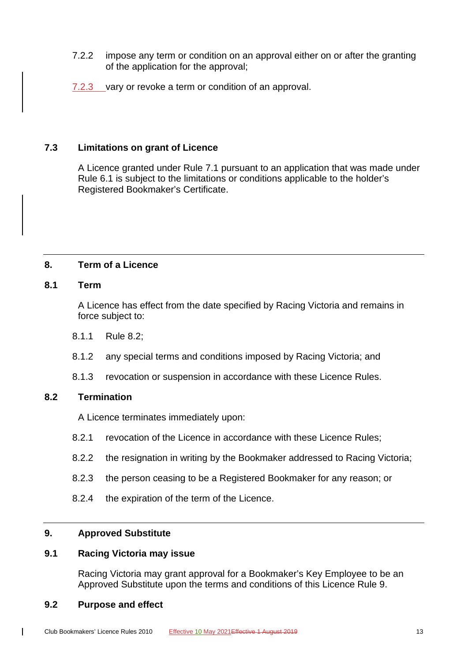- 7.2.2 impose any term or condition on an approval either on or after the granting of the application for the approval;
- 7.2.3 vary or revoke a term or condition of an approval.

# <span id="page-28-0"></span>**7.3 Limitations on grant of Licence**

A Licence granted under Rule [7.1](#page-27-4) pursuant to an application that was made under Rule [6.1](#page-27-1) is subject to the limitations or conditions applicable to the holder's Registered Bookmaker's Certificate.

#### <span id="page-28-2"></span><span id="page-28-1"></span>**8. Term of a Licence**

#### **8.1 Term**

A Licence has effect from the date specified by Racing Victoria and remains in force subject to:

- 8.1.1 Rule [8.2;](#page-28-3)
- 8.1.2 any special terms and conditions imposed by Racing Victoria; and
- 8.1.3 revocation or suspension in accordance with these Licence Rules.

#### <span id="page-28-3"></span>**8.2 Termination**

A Licence terminates immediately upon:

- 8.2.1 revocation of the Licence in accordance with these Licence Rules;
- 8.2.2 the resignation in writing by the Bookmaker addressed to Racing Victoria;
- 8.2.3 the person ceasing to be a Registered Bookmaker for any reason; or
- 8.2.4 the expiration of the term of the Licence.

#### <span id="page-28-5"></span><span id="page-28-4"></span>**9. Approved Substitute**

#### **9.1 Racing Victoria may issue**

Racing Victoria may grant approval for a Bookmaker's Key Employee to be an Approved Substitute upon the terms and conditions of this Licence Rule [9.](#page-28-4)

#### <span id="page-28-6"></span>**9.2 Purpose and effect**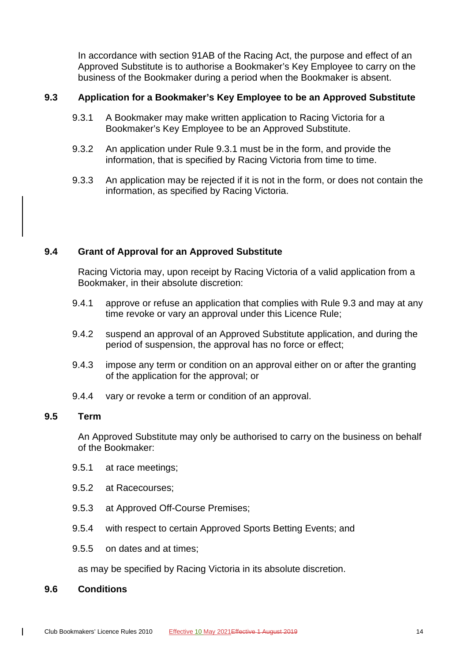In accordance with section 91AB of the Racing Act, the purpose and effect of an Approved Substitute is to authorise a Bookmaker's Key Employee to carry on the business of the Bookmaker during a period when the Bookmaker is absent.

#### <span id="page-29-4"></span><span id="page-29-0"></span>**9.3 Application for a Bookmaker's Key Employee to be an Approved Substitute**

- 9.3.1 A Bookmaker may make written application to Racing Victoria for a Bookmaker's Key Employee to be an Approved Substitute.
- 9.3.2 An application under Rule [9.3.1](#page-29-4) must be in the form, and provide the information, that is specified by Racing Victoria from time to time.
- 9.3.3 An application may be rejected if it is not in the form, or does not contain the information, as specified by Racing Victoria.

# <span id="page-29-1"></span>**9.4 Grant of Approval for an Approved Substitute**

Racing Victoria may, upon receipt by Racing Victoria of a valid application from a Bookmaker, in their absolute discretion:

- 9.4.1 approve or refuse an application that complies with Rule [9.3](#page-29-0) and may at any time revoke or vary an approval under this Licence Rule;
- 9.4.2 suspend an approval of an Approved Substitute application, and during the period of suspension, the approval has no force or effect;
- 9.4.3 impose any term or condition on an approval either on or after the granting of the application for the approval; or
- 9.4.4 vary or revoke a term or condition of an approval.

#### <span id="page-29-2"></span>**9.5 Term**

An Approved Substitute may only be authorised to carry on the business on behalf of the Bookmaker:

- 9.5.1 at race meetings;
- 9.5.2 at Racecourses;
- 9.5.3 at Approved Off-Course Premises;
- 9.5.4 with respect to certain Approved Sports Betting Events; and
- 9.5.5 on dates and at times;

as may be specified by Racing Victoria in its absolute discretion.

#### <span id="page-29-3"></span>**9.6 Conditions**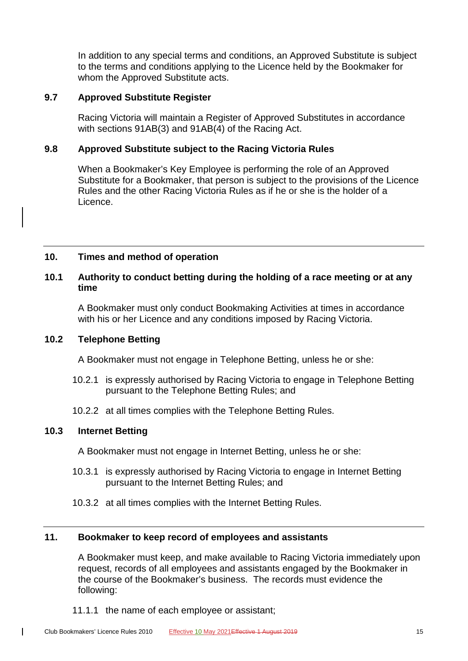In addition to any special terms and conditions, an Approved Substitute is subject to the terms and conditions applying to the Licence held by the Bookmaker for whom the Approved Substitute acts.

#### <span id="page-30-0"></span>**9.7 Approved Substitute Register**

Racing Victoria will maintain a Register of Approved Substitutes in accordance with sections 91AB(3) and 91AB(4) of the Racing Act.

#### <span id="page-30-1"></span>**9.8 Approved Substitute subject to the Racing Victoria Rules**

When a Bookmaker's Key Employee is performing the role of an Approved Substitute for a Bookmaker, that person is subject to the provisions of the Licence Rules and the other Racing Victoria Rules as if he or she is the holder of a Licence.

# <span id="page-30-3"></span><span id="page-30-2"></span>**10. Times and method of operation**

# **10.1 Authority to conduct betting during the holding of a race meeting or at any time**

A Bookmaker must only conduct Bookmaking Activities at times in accordance with his or her Licence and any conditions imposed by Racing Victoria.

#### <span id="page-30-4"></span>**10.2 Telephone Betting**

A Bookmaker must not engage in Telephone Betting, unless he or she:

- 10.2.1 is expressly authorised by Racing Victoria to engage in Telephone Betting pursuant to the Telephone Betting Rules; and
- 10.2.2 at all times complies with the Telephone Betting Rules.

# <span id="page-30-5"></span>**10.3 Internet Betting**

 $\mathbf{I}$ 

A Bookmaker must not engage in Internet Betting, unless he or she:

- 10.3.1 is expressly authorised by Racing Victoria to engage in Internet Betting pursuant to the Internet Betting Rules; and
- 10.3.2 at all times complies with the Internet Betting Rules.

# <span id="page-30-6"></span>**11. Bookmaker to keep record of employees and assistants**

A Bookmaker must keep, and make available to Racing Victoria immediately upon request, records of all employees and assistants engaged by the Bookmaker in the course of the Bookmaker's business. The records must evidence the following:

11.1.1 the name of each employee or assistant;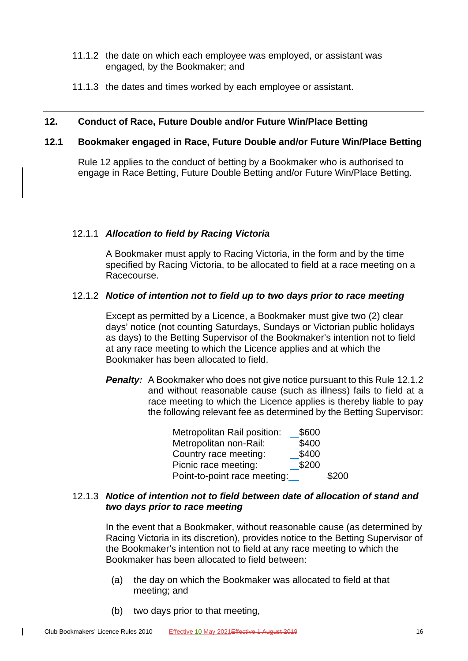- 11.1.2 the date on which each employee was employed, or assistant was engaged, by the Bookmaker; and
- 11.1.3 the dates and times worked by each employee or assistant.

#### <span id="page-31-0"></span>**12. Conduct of Race, Future Double and/or Future Win/Place Betting**

#### <span id="page-31-1"></span>**12.1 Bookmaker engaged in Race, Future Double and/or Future Win/Place Betting**

Rule [12](#page-31-0) applies to the conduct of betting by a Bookmaker who is authorised to engage in Race Betting, Future Double Betting and/or Future Win/Place Betting.

#### 12.1.1 *Allocation to field by Racing Victoria*

A Bookmaker must apply to Racing Victoria, in the form and by the time specified by Racing Victoria, to be allocated to field at a race meeting on a Racecourse.

#### <span id="page-31-2"></span>12.1.2 *Notice of intention not to field up to two days prior to race meeting*

Except as permitted by a Licence, a Bookmaker must give two (2) clear days' notice (not counting Saturdays, Sundays or Victorian public holidays as days) to the Betting Supervisor of the Bookmaker's intention not to field at any race meeting to which the Licence applies and at which the Bookmaker has been allocated to field.

**Penalty:** A Bookmaker who does not give notice pursuant to this Rule [12.1.2](#page-31-2) and without reasonable cause (such as illness) fails to field at a race meeting to which the Licence applies is thereby liable to pay the following relevant fee as determined by the Betting Supervisor:

| Metropolitan Rail position:  | \$600 |        |
|------------------------------|-------|--------|
| Metropolitan non-Rail:       | \$400 |        |
| Country race meeting:        | \$400 |        |
| Picnic race meeting:         | \$200 |        |
| Point-to-point race meeting: |       | -\$200 |

# <span id="page-31-3"></span>12.1.3 *Notice of intention not to field between date of allocation of stand and two days prior to race meeting*

In the event that a Bookmaker, without reasonable cause (as determined by Racing Victoria in its discretion), provides notice to the Betting Supervisor of the Bookmaker's intention not to field at any race meeting to which the Bookmaker has been allocated to field between:

- (a) the day on which the Bookmaker was allocated to field at that meeting; and
- (b) two days prior to that meeting,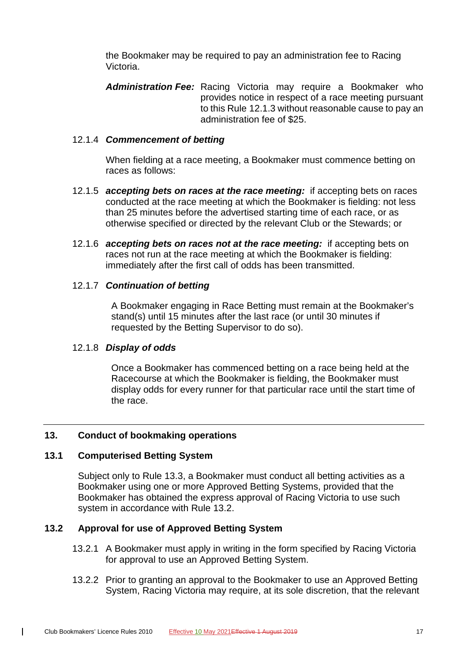the Bookmaker may be required to pay an administration fee to Racing Victoria.

*Administration Fee:* Racing Victoria may require a Bookmaker who provides notice in respect of a race meeting pursuant to this Rule [12.1.3](#page-31-3) without reasonable cause to pay an administration fee of \$25.

#### 12.1.4 *Commencement of betting*

When fielding at a race meeting, a Bookmaker must commence betting on races as follows:

- 12.1.5 *accepting bets on races at the race meeting:* if accepting bets on races conducted at the race meeting at which the Bookmaker is fielding: not less than 25 minutes before the advertised starting time of each race, or as otherwise specified or directed by the relevant Club or the Stewards; or
- 12.1.6 *accepting bets on races not at the race meeting:* if accepting bets on races not run at the race meeting at which the Bookmaker is fielding: immediately after the first call of odds has been transmitted.

#### 12.1.7 *Continuation of betting*

A Bookmaker engaging in Race Betting must remain at the Bookmaker's stand(s) until 15 minutes after the last race (or until 30 minutes if requested by the Betting Supervisor to do so).

#### 12.1.8 *Display of odds*

Once a Bookmaker has commenced betting on a race being held at the Racecourse at which the Bookmaker is fielding, the Bookmaker must display odds for every runner for that particular race until the start time of the race.

#### <span id="page-32-1"></span><span id="page-32-0"></span>**13. Conduct of bookmaking operations**

#### **13.1 Computerised Betting System**

 $\mathbf{I}$ 

Subject only to Rule [13.3,](#page-33-0) a Bookmaker must conduct all betting activities as a Bookmaker using one or more Approved Betting Systems, provided that the Bookmaker has obtained the express approval of Racing Victoria to use such system in accordance with Rule [13.2.](#page-32-2)

# <span id="page-32-3"></span><span id="page-32-2"></span>**13.2 Approval for use of Approved Betting System**

- 13.2.1 A Bookmaker must apply in writing in the form specified by Racing Victoria for approval to use an Approved Betting System.
- 13.2.2 Prior to granting an approval to the Bookmaker to use an Approved Betting System, Racing Victoria may require, at its sole discretion, that the relevant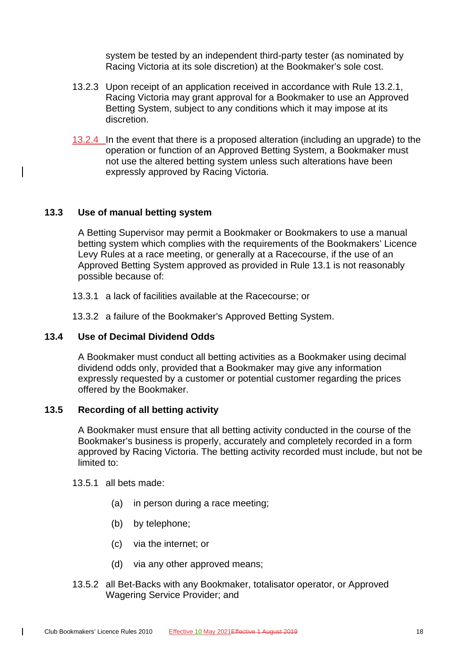system be tested by an independent third-party tester (as nominated by Racing Victoria at its sole discretion) at the Bookmaker's sole cost.

- 13.2.3 Upon receipt of an application received in accordance with Rule [13.2.1,](#page-32-3) Racing Victoria may grant approval for a Bookmaker to use an Approved Betting System, subject to any conditions which it may impose at its discretion.
- 13.2.4 In the event that there is a proposed alteration (including an upgrade) to the operation or function of an Approved Betting System, a Bookmaker must not use the altered betting system unless such alterations have been expressly approved by Racing Victoria.

#### <span id="page-33-0"></span>**13.3 Use of manual betting system**

A Betting Supervisor may permit a Bookmaker or Bookmakers to use a manual betting system which complies with the requirements of the Bookmakers' Licence Levy Rules at a race meeting, or generally at a Racecourse, if the use of an Approved Betting System approved as provided in Rule [13.1](#page-32-1) is not reasonably possible because of:

13.3.1 a lack of facilities available at the Racecourse; or

13.3.2 a failure of the Bookmaker's Approved Betting System.

#### <span id="page-33-1"></span>**13.4 Use of Decimal Dividend Odds**

A Bookmaker must conduct all betting activities as a Bookmaker using decimal dividend odds only, provided that a Bookmaker may give any information expressly requested by a customer or potential customer regarding the prices offered by the Bookmaker.

#### <span id="page-33-2"></span>**13.5 Recording of all betting activity**

A Bookmaker must ensure that all betting activity conducted in the course of the Bookmaker's business is properly, accurately and completely recorded in a form approved by Racing Victoria. The betting activity recorded must include, but not be limited to:

13.5.1 all bets made:

- (a) in person during a race meeting;
- (b) by telephone;
- (c) via the internet; or
- (d) via any other approved means;
- 13.5.2 all Bet-Backs with any Bookmaker, totalisator operator, or Approved Wagering Service Provider; and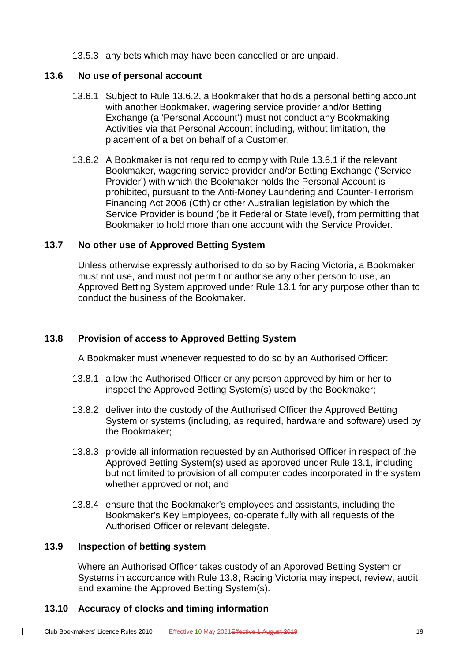13.5.3 any bets which may have been cancelled or are unpaid.

#### <span id="page-34-0"></span>**13.6 No use of personal account**

- 13.6.1 Subject to Rule 13.6.2, a Bookmaker that holds a personal betting account with another Bookmaker, wagering service provider and/or Betting Exchange (a 'Personal Account') must not conduct any Bookmaking Activities via that Personal Account including, without limitation, the placement of a bet on behalf of a Customer.
- 13.6.2 A Bookmaker is not required to comply with Rule 13.6.1 if the relevant Bookmaker, wagering service provider and/or Betting Exchange ('Service Provider') with which the Bookmaker holds the Personal Account is prohibited, pursuant to the Anti-Money Laundering and Counter-Terrorism Financing Act 2006 (Cth) or other Australian legislation by which the Service Provider is bound (be it Federal or State level), from permitting that Bookmaker to hold more than one account with the Service Provider.

# <span id="page-34-1"></span>**13.7 No other use of Approved Betting System**

Unless otherwise expressly authorised to do so by Racing Victoria, a Bookmaker must not use, and must not permit or authorise any other person to use, an Approved Betting System approved under Rule [13.1](#page-32-1) for any purpose other than to conduct the business of the Bookmaker.

# <span id="page-34-2"></span>**13.8 Provision of access to Approved Betting System**

A Bookmaker must whenever requested to do so by an Authorised Officer:

- 13.8.1 allow the Authorised Officer or any person approved by him or her to inspect the Approved Betting System(s) used by the Bookmaker;
- 13.8.2 deliver into the custody of the Authorised Officer the Approved Betting System or systems (including, as required, hardware and software) used by the Bookmaker;
- 13.8.3 provide all information requested by an Authorised Officer in respect of the Approved Betting System(s) used as approved under Rule [13.1,](#page-32-1) including but not limited to provision of all computer codes incorporated in the system whether approved or not; and
- 13.8.4 ensure that the Bookmaker's employees and assistants, including the Bookmaker's Key Employees, co-operate fully with all requests of the Authorised Officer or relevant delegate.

# <span id="page-34-3"></span>**13.9 Inspection of betting system**

 $\overline{1}$ 

Where an Authorised Officer takes custody of an Approved Betting System or Systems in accordance with Rule [13.8,](#page-34-2) Racing Victoria may inspect, review, audit and examine the Approved Betting System(s).

# <span id="page-34-4"></span>**13.10 Accuracy of clocks and timing information**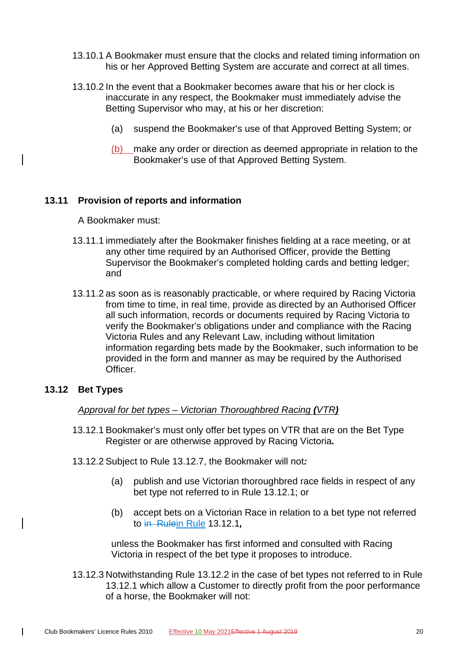- 13.10.1 A Bookmaker must ensure that the clocks and related timing information on his or her Approved Betting System are accurate and correct at all times.
- 13.10.2 In the event that a Bookmaker becomes aware that his or her clock is inaccurate in any respect, the Bookmaker must immediately advise the Betting Supervisor who may, at his or her discretion:
	- (a) suspend the Bookmaker's use of that Approved Betting System; or
	- (b) make any order or direction as deemed appropriate in relation to the Bookmaker's use of that Approved Betting System.

#### <span id="page-35-0"></span>**13.11 Provision of reports and information**

A Bookmaker must:

- 13.11.1 immediately after the Bookmaker finishes fielding at a race meeting, or at any other time required by an Authorised Officer, provide the Betting Supervisor the Bookmaker's completed holding cards and betting ledger; and
- 13.11.2 as soon as is reasonably practicable, or where required by Racing Victoria from time to time, in real time, provide as directed by an Authorised Officer all such information, records or documents required by Racing Victoria to verify the Bookmaker's obligations under and compliance with the Racing Victoria Rules and any Relevant Law, including without limitation information regarding bets made by the Bookmaker, such information to be provided in the form and manner as may be required by the Authorised Officer.

#### <span id="page-35-2"></span><span id="page-35-1"></span>**13.12 Bet Types**

 $\mathbf{I}$ 

#### *Approval for bet types – Victorian Thoroughbred Racing (VTR)*

- 13.12.1 Bookmaker's must only offer bet types on VTR that are on the Bet Type Register or are otherwise approved by Racing Victoria*.*
- <span id="page-35-3"></span>13.12.2 Subject to Rule [13.12.7,](#page-36-0) the Bookmaker will not*:*
	- (a) publish and use Victorian thoroughbred race fields in respect of any bet type not referred to in Rule [13.12.1;](#page-35-2) or
	- (b) accept bets on a Victorian Race in relation to a bet type not referred to in Rulein Rule [13.12.1](#page-35-2)*,*

unless the Bookmaker has first informed and consulted with Racing Victoria in respect of the bet type it proposes to introduce.

<span id="page-35-4"></span>13.12.3 Notwithstanding Rule [13.12.2](#page-35-3) in the case of bet types not referred to in Rule [13.12.1](#page-35-2) which allow a Customer to directly profit from the poor performance of a horse, the Bookmaker will not: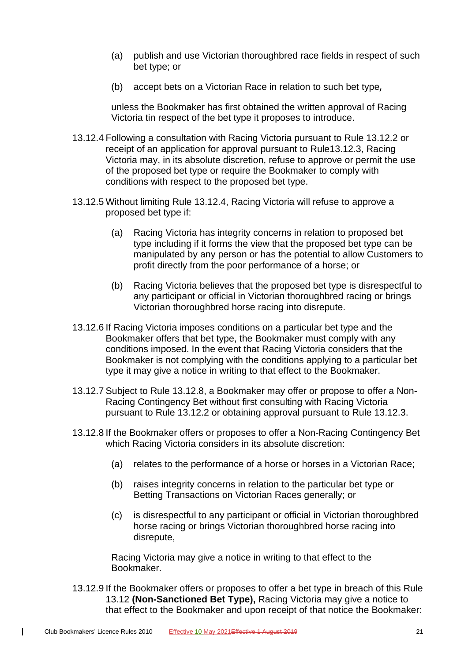- (a) publish and use Victorian thoroughbred race fields in respect of such bet type; or
- (b) accept bets on a Victorian Race in relation to such bet type*,*

unless the Bookmaker has first obtained the written approval of Racing Victoria tin respect of the bet type it proposes to introduce.

- <span id="page-36-1"></span>13.12.4 Following a consultation with Racing Victoria pursuant to Rule [13.12.2](#page-35-3) or receipt of an application for approval pursuant to Rul[e13.12.3,](#page-35-4) Racing Victoria may, in its absolute discretion, refuse to approve or permit the use of the proposed bet type or require the Bookmaker to comply with conditions with respect to the proposed bet type.
- 13.12.5 Without limiting Rule [13.12.4,](#page-36-1) Racing Victoria will refuse to approve a proposed bet type if:
	- (a) Racing Victoria has integrity concerns in relation to proposed bet type including if it forms the view that the proposed bet type can be manipulated by any person or has the potential to allow Customers to profit directly from the poor performance of a horse; or
	- (b) Racing Victoria believes that the proposed bet type is disrespectful to any participant or official in Victorian thoroughbred racing or brings Victorian thoroughbred horse racing into disrepute.
- 13.12.6 If Racing Victoria imposes conditions on a particular bet type and the Bookmaker offers that bet type, the Bookmaker must comply with any conditions imposed. In the event that Racing Victoria considers that the Bookmaker is not complying with the conditions applying to a particular bet type it may give a notice in writing to that effect to the Bookmaker.
- <span id="page-36-0"></span>13.12.7 Subject to Rule [13.12.8,](#page-36-2) a Bookmaker may offer or propose to offer a Non-Racing Contingency Bet without first consulting with Racing Victoria pursuant to Rule [13.12.2](#page-35-3) or obtaining approval pursuant to Rule [13.12.3.](#page-35-4)
- <span id="page-36-2"></span>13.12.8 If the Bookmaker offers or proposes to offer a Non-Racing Contingency Bet which Racing Victoria considers in its absolute discretion:
	- (a) relates to the performance of a horse or horses in a Victorian Race;
	- (b) raises integrity concerns in relation to the particular bet type or Betting Transactions on Victorian Races generally; or
	- (c) is disrespectful to any participant or official in Victorian thoroughbred horse racing or brings Victorian thoroughbred horse racing into disrepute,

Racing Victoria may give a notice in writing to that effect to the Bookmaker.

13.12.9 If the Bookmaker offers or proposes to offer a bet type in breach of this Rule [13.12](#page-35-1) **(Non-Sanctioned Bet Type),** Racing Victoria may give a notice to that effect to the Bookmaker and upon receipt of that notice the Bookmaker: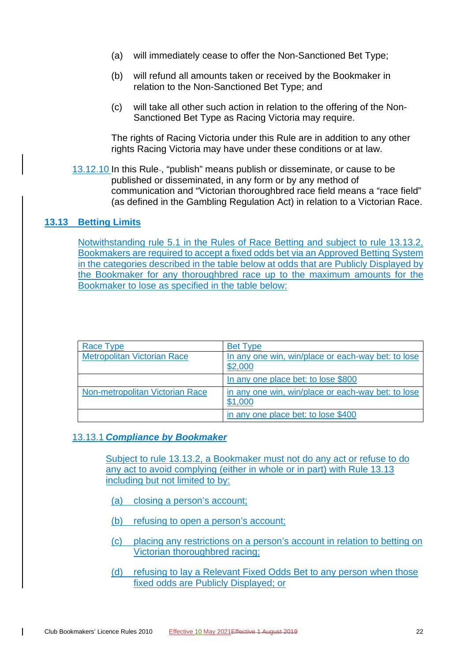- (a) will immediately cease to offer the Non-Sanctioned Bet Type;
- (b) will refund all amounts taken or received by the Bookmaker in relation to the Non-Sanctioned Bet Type; and
- (c) will take all other such action in relation to the offering of the Non-Sanctioned Bet Type as Racing Victoria may require.

The rights of Racing Victoria under this Rule are in addition to any other rights Racing Victoria may have under these conditions or at law.

13.12.10 In this Rule-, "publish" means publish or disseminate, or cause to be published or disseminated, in any form or by any method of communication and "Victorian thoroughbred race field means a "race field" (as defined in the Gambling Regulation Act) in relation to a Victorian Race.

#### <span id="page-37-0"></span>**13.13 Betting Limits**

Notwithstanding rule 5.1 in the Rules of Race Betting and subject to rule 13.13.2, Bookmakers are required to accept a fixed odds bet via an Approved Betting System in the categories described in the table below at odds that are Publicly Displayed by the Bookmaker for any thoroughbred race up to the maximum amounts for the Bookmaker to lose as specified in the table below:

| Race Type                          | <b>Bet Type</b>                                               |
|------------------------------------|---------------------------------------------------------------|
| <b>Metropolitan Victorian Race</b> | In any one win, win/place or each-way bet: to lose<br>\$2,000 |
|                                    | In any one place bet: to lose \$800                           |
| Non-metropolitan Victorian Race    | in any one win, win/place or each-way bet: to lose<br>\$1,000 |
|                                    | in any one place bet: to lose \$400                           |

#### 13.13.1 *Compliance by Bookmaker*

Subject to rule 13.13.2, a Bookmaker must not do any act or refuse to do any act to avoid complying (either in whole or in part) with Rule 13.13 including but not limited to by:

- (a) closing a person's account;
- (b) refusing to open a person's account;
- (c) placing any restrictions on a person's account in relation to betting on Victorian thoroughbred racing;
- (d) refusing to lay a Relevant Fixed Odds Bet to any person when those fixed odds are Publicly Displayed; or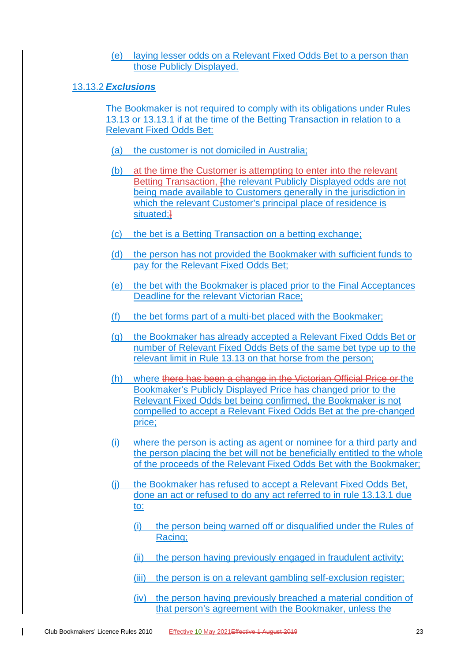(e) laying lesser odds on a Relevant Fixed Odds Bet to a person than those Publicly Displayed.

#### 13.13.2 *Exclusions*

The Bookmaker is not required to comply with its obligations under Rules 13.13 or 13.13.1 if at the time of the Betting Transaction in relation to a Relevant Fixed Odds Bet:

- (a) the customer is not domiciled in Australia;
- (b) at the time the Customer is attempting to enter into the relevant Betting Transaction, *[the relevant Publicly Displayed odds are not* being made available to Customers generally in the jurisdiction in which the relevant Customer's principal place of residence is situated;<sup>1</sup>
- (c) the bet is a Betting Transaction on a betting exchange;
- (d) the person has not provided the Bookmaker with sufficient funds to pay for the Relevant Fixed Odds Bet;
- (e) the bet with the Bookmaker is placed prior to the Final Acceptances Deadline for the relevant Victorian Race;
- (f) the bet forms part of a multi-bet placed with the Bookmaker;
- (g) the Bookmaker has already accepted a Relevant Fixed Odds Bet or number of Relevant Fixed Odds Bets of the same bet type up to the relevant limit in Rule 13.13 on that horse from the person;
- (h) where there has been a change in the Victorian Official Price or the Bookmaker's Publicly Displayed Price has changed prior to the Relevant Fixed Odds bet being confirmed, the Bookmaker is not compelled to accept a Relevant Fixed Odds Bet at the pre-changed price;
- (i) where the person is acting as agent or nominee for a third party and the person placing the bet will not be beneficially entitled to the whole of the proceeds of the Relevant Fixed Odds Bet with the Bookmaker;
- (j) the Bookmaker has refused to accept a Relevant Fixed Odds Bet, done an act or refused to do any act referred to in rule 13.13.1 due to:
	- (i) the person being warned off or disqualified under the Rules of Racing;
	- (ii) the person having previously engaged in fraudulent activity;
	- (iii) the person is on a relevant gambling self-exclusion register;
	- (iv) the person having previously breached a material condition of that person's agreement with the Bookmaker, unless the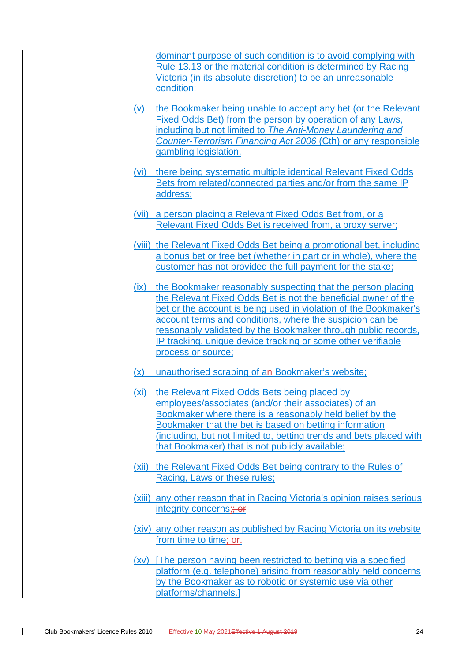dominant purpose of such condition is to avoid complying with Rule 13.13 or the material condition is determined by Racing Victoria (in its absolute discretion) to be an unreasonable condition;

- (v) the Bookmaker being unable to accept any bet (or the Relevant Fixed Odds Bet) from the person by operation of any Laws, including but not limited to *The Anti-Money Laundering and Counter-Terrorism Financing Act 2006* (Cth) or any responsible gambling legislation.
- (vi) there being systematic multiple identical Relevant Fixed Odds Bets from related/connected parties and/or from the same IP address;
- (vii) a person placing a Relevant Fixed Odds Bet from, or a Relevant Fixed Odds Bet is received from, a proxy server;
- (viii) the Relevant Fixed Odds Bet being a promotional bet, including a bonus bet or free bet (whether in part or in whole), where the customer has not provided the full payment for the stake;
- (ix) the Bookmaker reasonably suspecting that the person placing the Relevant Fixed Odds Bet is not the beneficial owner of the bet or the account is being used in violation of the Bookmaker's account terms and conditions, where the suspicion can be reasonably validated by the Bookmaker through public records, IP tracking, unique device tracking or some other verifiable process or source;
- (x) unauthorised scraping of an Bookmaker's website;
- (xi) the Relevant Fixed Odds Bets being placed by employees/associates (and/or their associates) of an Bookmaker where there is a reasonably held belief by the Bookmaker that the bet is based on betting information (including, but not limited to, betting trends and bets placed with that Bookmaker) that is not publicly available;
- (xii) the Relevant Fixed Odds Bet being contrary to the Rules of Racing, Laws or these rules;
- (xiii) any other reason that in Racing Victoria's opinion raises serious integrity concerns: + or
- (xiv) any other reason as published by Racing Victoria on its website from time to time: or-
- (xv) [The person having been restricted to betting via a specified platform (e.g. telephone) arising from reasonably held concerns by the Bookmaker as to robotic or systemic use via other platforms/channels.]

 $\mathsf{l}$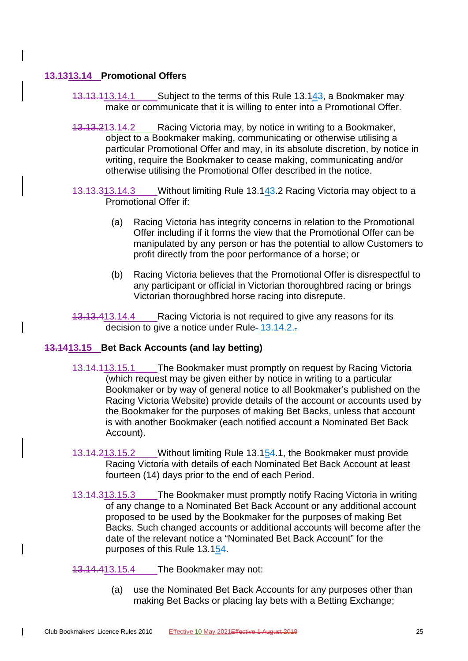# <span id="page-40-0"></span>**13.1313.14 Promotional Offers**

- 13.13.113.14.1 Subject to the terms of this Rule [13.143,](#page-40-0) a Bookmaker may make or communicate that it is willing to enter into a Promotional Offer.
- <span id="page-40-2"></span>13.13.213.14.2 Racing Victoria may, by notice in writing to a Bookmaker, object to a Bookmaker making, communicating or otherwise utilising a particular Promotional Offer and may, in its absolute discretion, by notice in writing, require the Bookmaker to cease making, communicating and/or otherwise utilising the Promotional Offer described in the notice.
- 13.13.313.14.3 Without limiting Rule [13.143.2](#page-40-2) Racing Victoria may object to a Promotional Offer if:
	- (a) Racing Victoria has integrity concerns in relation to the Promotional Offer including if it forms the view that the Promotional Offer can be manipulated by any person or has the potential to allow Customers to profit directly from the poor performance of a horse; or
	- (b) Racing Victoria believes that the Promotional Offer is disrespectful to any participant or official in Victorian thoroughbred racing or brings Victorian thoroughbred horse racing into disrepute.
- 13.13.413.14.4 Racing Victoria is not required to give any reasons for its decision to give a notice under Rule- $13.14.2.$ .

# <span id="page-40-3"></span><span id="page-40-1"></span>**13.1413.15 Bet Back Accounts (and lay betting)**

- 13.14.113.15.1 The Bookmaker must promptly on request by Racing Victoria (which request may be given either by notice in writing to a particular Bookmaker or by way of general notice to all Bookmaker's published on the Racing Victoria Website) provide details of the account or accounts used by the Bookmaker for the purposes of making Bet Backs, unless that account is with another Bookmaker (each notified account a Nominated Bet Back Account).
- 13.14.213.15.2 Without limiting Rule [13.154.1,](#page-40-3) the Bookmaker must provide Racing Victoria with details of each Nominated Bet Back Account at least fourteen (14) days prior to the end of each Period.
- 13.14.313.15.3 The Bookmaker must promptly notify Racing Victoria in writing of any change to a Nominated Bet Back Account or any additional account proposed to be used by the Bookmaker for the purposes of making Bet Backs. Such changed accounts or additional accounts will become after the date of the relevant notice a "Nominated Bet Back Account" for the purposes of this Rule [13.154.](#page-40-1)

13.14.413.15.4 The Bookmaker may not:

(a) use the Nominated Bet Back Accounts for any purposes other than making Bet Backs or placing lay bets with a Betting Exchange;

 $\mathsf{l}$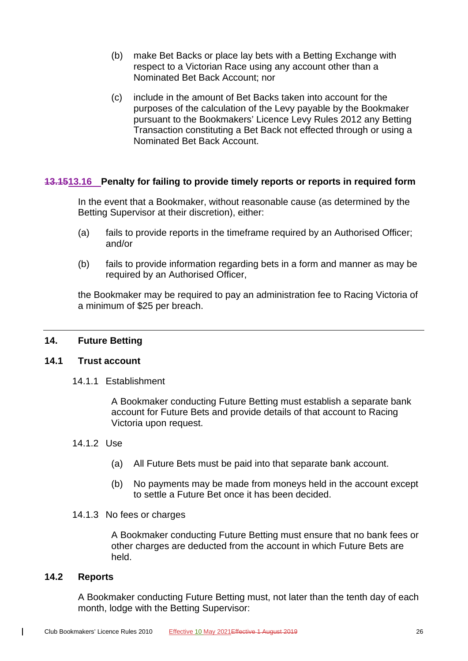- (b) make Bet Backs or place lay bets with a Betting Exchange with respect to a Victorian Race using any account other than a Nominated Bet Back Account; nor
- (c) include in the amount of Bet Backs taken into account for the purposes of the calculation of the Levy payable by the Bookmaker pursuant to the Bookmakers' Licence Levy Rules 2012 any Betting Transaction constituting a Bet Back not effected through or using a Nominated Bet Back Account.

# <span id="page-41-0"></span>**13.1513.16 Penalty for failing to provide timely reports or reports in required form**

In the event that a Bookmaker, without reasonable cause (as determined by the Betting Supervisor at their discretion), either:

- (a) fails to provide reports in the timeframe required by an Authorised Officer; and/or
- (b) fails to provide information regarding bets in a form and manner as may be required by an Authorised Officer,

the Bookmaker may be required to pay an administration fee to Racing Victoria of a minimum of \$25 per breach.

# <span id="page-41-2"></span><span id="page-41-1"></span>**14. Future Betting**

#### **14.1 Trust account**

14.1.1 Establishment

A Bookmaker conducting Future Betting must establish a separate bank account for Future Bets and provide details of that account to Racing Victoria upon request.

#### 14.1.2 Use

- (a) All Future Bets must be paid into that separate bank account.
- (b) No payments may be made from moneys held in the account except to settle a Future Bet once it has been decided.

#### 14.1.3 No fees or charges

A Bookmaker conducting Future Betting must ensure that no bank fees or other charges are deducted from the account in which Future Bets are held.

#### <span id="page-41-3"></span>**14.2 Reports**

 $\mathbf{I}$ 

A Bookmaker conducting Future Betting must, not later than the tenth day of each month, lodge with the Betting Supervisor: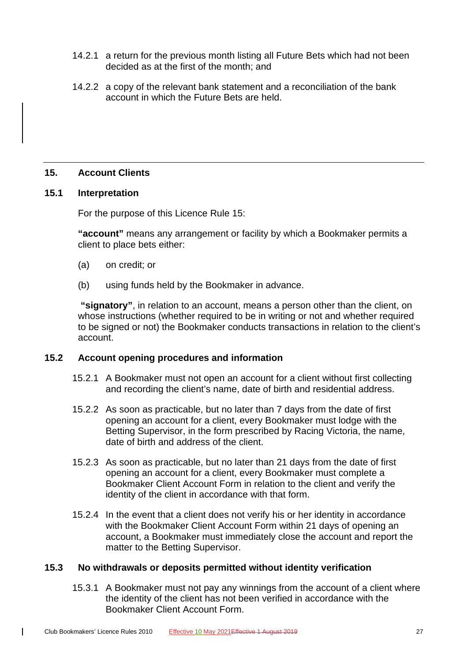- 14.2.1 a return for the previous month listing all Future Bets which had not been decided as at the first of the month; and
- 14.2.2 a copy of the relevant bank statement and a reconciliation of the bank account in which the Future Bets are held.

# <span id="page-42-0"></span>**15. Account Clients**

#### <span id="page-42-1"></span>**15.1 Interpretation**

For the purpose of this Licence Rule [15:](#page-42-0)

**"account"** means any arrangement or facility by which a Bookmaker permits a client to place bets either:

- (a) on credit; or
- (b) using funds held by the Bookmaker in advance.

**"signatory"**, in relation to an account, means a person other than the client, on whose instructions (whether required to be in writing or not and whether required to be signed or not) the Bookmaker conducts transactions in relation to the client's account.

#### <span id="page-42-2"></span>**15.2 Account opening procedures and information**

- 15.2.1 A Bookmaker must not open an account for a client without first collecting and recording the client's name, date of birth and residential address.
- 15.2.2 As soon as practicable, but no later than 7 days from the date of first opening an account for a client, every Bookmaker must lodge with the Betting Supervisor, in the form prescribed by Racing Victoria, the name, date of birth and address of the client.
- 15.2.3 As soon as practicable, but no later than 21 days from the date of first opening an account for a client, every Bookmaker must complete a Bookmaker Client Account Form in relation to the client and verify the identity of the client in accordance with that form.
- 15.2.4 In the event that a client does not verify his or her identity in accordance with the Bookmaker Client Account Form within 21 days of opening an account, a Bookmaker must immediately close the account and report the matter to the Betting Supervisor.

#### <span id="page-42-3"></span>**15.3 No withdrawals or deposits permitted without identity verification**

15.3.1 A Bookmaker must not pay any winnings from the account of a client where the identity of the client has not been verified in accordance with the Bookmaker Client Account Form.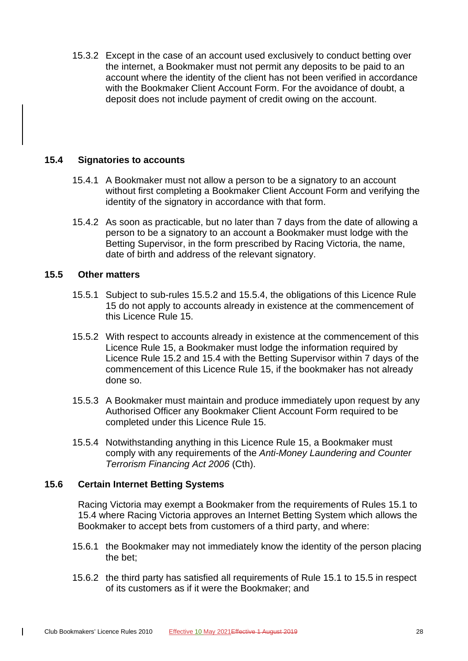15.3.2 Except in the case of an account used exclusively to conduct betting over the internet, a Bookmaker must not permit any deposits to be paid to an account where the identity of the client has not been verified in accordance with the Bookmaker Client Account Form. For the avoidance of doubt, a deposit does not include payment of credit owing on the account.

# <span id="page-43-0"></span>**15.4 Signatories to accounts**

- 15.4.1 A Bookmaker must not allow a person to be a signatory to an account without first completing a Bookmaker Client Account Form and verifying the identity of the signatory in accordance with that form.
- 15.4.2 As soon as practicable, but no later than 7 days from the date of allowing a person to be a signatory to an account a Bookmaker must lodge with the Betting Supervisor, in the form prescribed by Racing Victoria, the name, date of birth and address of the relevant signatory.

# <span id="page-43-1"></span>**15.5 Other matters**

- 15.5.1 Subject to sub-rules [15.5.2](#page-43-3) and [15.5.4,](#page-43-4) the obligations of this Licence Rule [15](#page-42-0) do not apply to accounts already in existence at the commencement of this Licence Rule [15.](#page-42-0)
- <span id="page-43-3"></span>15.5.2 With respect to accounts already in existence at the commencement of this Licence Rule [15,](#page-42-0) a Bookmaker must lodge the information required by Licence Rule [15.2](#page-42-2) and [15.4](#page-43-0) with the Betting Supervisor within 7 days of the commencement of this Licence Rule [15,](#page-42-0) if the bookmaker has not already done so.
- 15.5.3 A Bookmaker must maintain and produce immediately upon request by any Authorised Officer any Bookmaker Client Account Form required to be completed under this Licence Rule [15.](#page-42-0)
- <span id="page-43-4"></span>15.5.4 Notwithstanding anything in this Licence Rule [15,](#page-42-0) a Bookmaker must comply with any requirements of the *Anti-Money Laundering and Counter Terrorism Financing Act 2006* (Cth).

# <span id="page-43-2"></span>**15.6 Certain Internet Betting Systems**

 $\mathbf{I}$ 

Racing Victoria may exempt a Bookmaker from the requirements of Rules 15.1 to 15.4 where Racing Victoria approves an Internet Betting System which allows the Bookmaker to accept bets from customers of a third party, and where:

- 15.6.1 the Bookmaker may not immediately know the identity of the person placing the bet;
- 15.6.2 the third party has satisfied all requirements of Rule 15.1 to 15.5 in respect of its customers as if it were the Bookmaker; and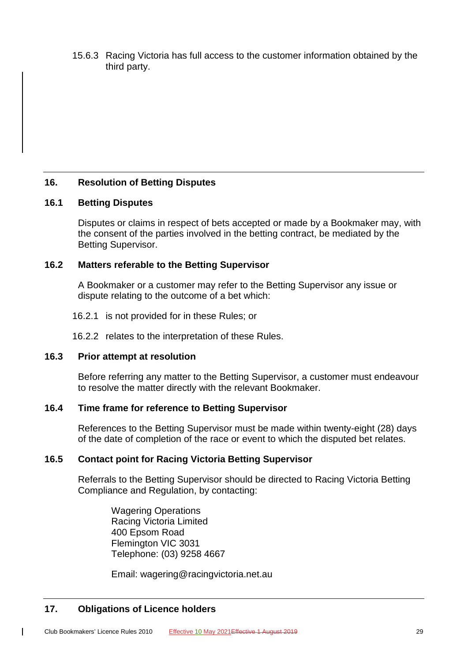15.6.3 Racing Victoria has full access to the customer information obtained by the third party.

# <span id="page-44-1"></span><span id="page-44-0"></span>**16. Resolution of Betting Disputes**

# **16.1 Betting Disputes**

Disputes or claims in respect of bets accepted or made by a Bookmaker may, with the consent of the parties involved in the betting contract, be mediated by the Betting Supervisor.

# <span id="page-44-2"></span>**16.2 Matters referable to the Betting Supervisor**

A Bookmaker or a customer may refer to the Betting Supervisor any issue or dispute relating to the outcome of a bet which:

16.2.1 is not provided for in these Rules; or

16.2.2 relates to the interpretation of these Rules.

# <span id="page-44-3"></span>**16.3 Prior attempt at resolution**

Before referring any matter to the Betting Supervisor, a customer must endeavour to resolve the matter directly with the relevant Bookmaker.

# <span id="page-44-4"></span>**16.4 Time frame for reference to Betting Supervisor**

References to the Betting Supervisor must be made within twenty-eight (28) days of the date of completion of the race or event to which the disputed bet relates.

# <span id="page-44-5"></span>**16.5 Contact point for Racing Victoria Betting Supervisor**

Referrals to the Betting Supervisor should be directed to Racing Victoria Betting Compliance and Regulation, by contacting:

Wagering Operations Racing Victoria Limited 400 Epsom Road Flemington VIC 3031 Telephone: (03) 9258 4667

Email: wagering@racingvictoria.net.au

# <span id="page-44-6"></span>**17. Obligations of Licence holders**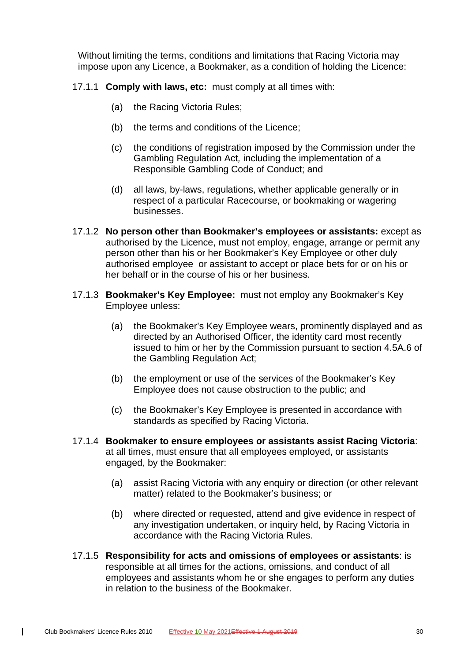Without limiting the terms, conditions and limitations that Racing Victoria may impose upon any Licence, a Bookmaker, as a condition of holding the Licence:

- 17.1.1 **Comply with laws, etc:** must comply at all times with:
	- (a) the Racing Victoria Rules;
	- (b) the terms and conditions of the Licence;
	- (c) the conditions of registration imposed by the Commission under the Gambling Regulation Act*,* including the implementation of a Responsible Gambling Code of Conduct; and
	- (d) all laws, by-laws, regulations, whether applicable generally or in respect of a particular Racecourse, or bookmaking or wagering businesses.
- 17.1.2 **No person other than Bookmaker's employees or assistants:** except as authorised by the Licence, must not employ, engage, arrange or permit any person other than his or her Bookmaker's Key Employee or other duly authorised employee or assistant to accept or place bets for or on his or her behalf or in the course of his or her business.
- 17.1.3 **Bookmaker's Key Employee:** must not employ any Bookmaker's Key Employee unless:
	- (a) the Bookmaker's Key Employee wears, prominently displayed and as directed by an Authorised Officer, the identity card most recently issued to him or her by the Commission pursuant to section 4.5A.6 of the Gambling Regulation Act;
	- (b) the employment or use of the services of the Bookmaker's Key Employee does not cause obstruction to the public; and
	- (c) the Bookmaker's Key Employee is presented in accordance with standards as specified by Racing Victoria.
- 17.1.4 **Bookmaker to ensure employees or assistants assist Racing Victoria**: at all times, must ensure that all employees employed, or assistants engaged, by the Bookmaker:
	- (a) assist Racing Victoria with any enquiry or direction (or other relevant matter) related to the Bookmaker's business; or
	- (b) where directed or requested, attend and give evidence in respect of any investigation undertaken, or inquiry held, by Racing Victoria in accordance with the Racing Victoria Rules.
- 17.1.5 **Responsibility for acts and omissions of employees or assistants**: is responsible at all times for the actions, omissions, and conduct of all employees and assistants whom he or she engages to perform any duties in relation to the business of the Bookmaker.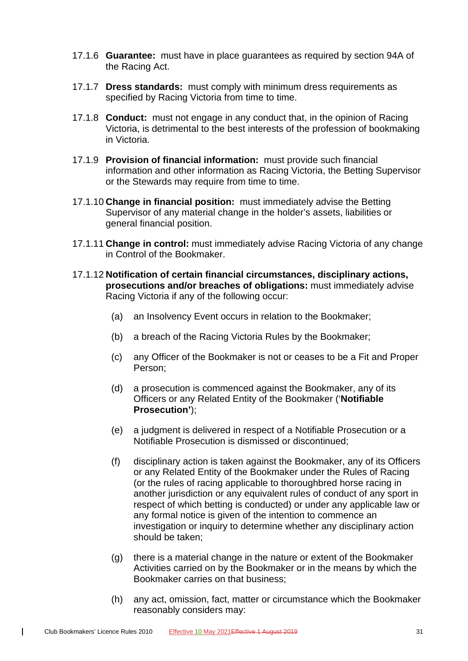- 17.1.6 **Guarantee:** must have in place guarantees as required by section 94A of the Racing Act.
- 17.1.7 **Dress standards:** must comply with minimum dress requirements as specified by Racing Victoria from time to time.
- 17.1.8 **Conduct:** must not engage in any conduct that, in the opinion of Racing Victoria, is detrimental to the best interests of the profession of bookmaking in Victoria.
- 17.1.9 **Provision of financial information:** must provide such financial information and other information as Racing Victoria, the Betting Supervisor or the Stewards may require from time to time.
- 17.1.10 **Change in financial position:** must immediately advise the Betting Supervisor of any material change in the holder's assets, liabilities or general financial position.
- 17.1.11 **Change in control:** must immediately advise Racing Victoria of any change in Control of the Bookmaker.
- 17.1.12 **Notification of certain financial circumstances, disciplinary actions, prosecutions and/or breaches of obligations:** must immediately advise Racing Victoria if any of the following occur:
	- (a) an Insolvency Event occurs in relation to the Bookmaker;
	- (b) a breach of the Racing Victoria Rules by the Bookmaker;
	- (c) any Officer of the Bookmaker is not or ceases to be a Fit and Proper Person;
	- (d) a prosecution is commenced against the Bookmaker, any of its Officers or any Related Entity of the Bookmaker ('**Notifiable Prosecution'**);
	- (e) a judgment is delivered in respect of a Notifiable Prosecution or a Notifiable Prosecution is dismissed or discontinued;
	- (f) disciplinary action is taken against the Bookmaker, any of its Officers or any Related Entity of the Bookmaker under the Rules of Racing (or the rules of racing applicable to thoroughbred horse racing in another jurisdiction or any equivalent rules of conduct of any sport in respect of which betting is conducted) or under any applicable law or any formal notice is given of the intention to commence an investigation or inquiry to determine whether any disciplinary action should be taken;
	- (g) there is a material change in the nature or extent of the Bookmaker Activities carried on by the Bookmaker or in the means by which the Bookmaker carries on that business;
	- (h) any act, omission, fact, matter or circumstance which the Bookmaker reasonably considers may:

 $\overline{1}$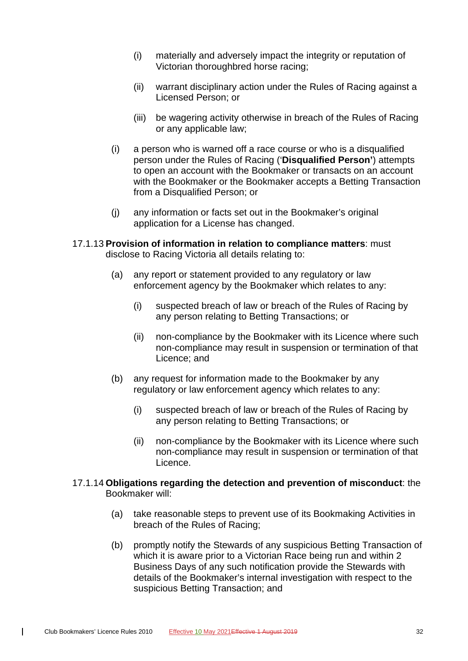- (i) materially and adversely impact the integrity or reputation of Victorian thoroughbred horse racing;
- (ii) warrant disciplinary action under the Rules of Racing against a Licensed Person; or
- (iii) be wagering activity otherwise in breach of the Rules of Racing or any applicable law;
- (i) a person who is warned off a race course or who is a disqualified person under the Rules of Racing ('**Disqualified Person'**) attempts to open an account with the Bookmaker or transacts on an account with the Bookmaker or the Bookmaker accepts a Betting Transaction from a Disqualified Person; or
- (j) any information or facts set out in the Bookmaker's original application for a License has changed.
- 17.1.13 **Provision of information in relation to compliance matters**: must disclose to Racing Victoria all details relating to:
	- (a) any report or statement provided to any regulatory or law enforcement agency by the Bookmaker which relates to any:
		- (i) suspected breach of law or breach of the Rules of Racing by any person relating to Betting Transactions; or
		- (ii) non-compliance by the Bookmaker with its Licence where such non-compliance may result in suspension or termination of that Licence; and
	- (b) any request for information made to the Bookmaker by any regulatory or law enforcement agency which relates to any:
		- (i) suspected breach of law or breach of the Rules of Racing by any person relating to Betting Transactions; or
		- (ii) non-compliance by the Bookmaker with its Licence where such non-compliance may result in suspension or termination of that Licence.
- 17.1.14 **Obligations regarding the detection and prevention of misconduct**: the Bookmaker will:
	- (a) take reasonable steps to prevent use of its Bookmaking Activities in breach of the Rules of Racing;
	- (b) promptly notify the Stewards of any suspicious Betting Transaction of which it is aware prior to a Victorian Race being run and within 2 Business Days of any such notification provide the Stewards with details of the Bookmaker's internal investigation with respect to the suspicious Betting Transaction; and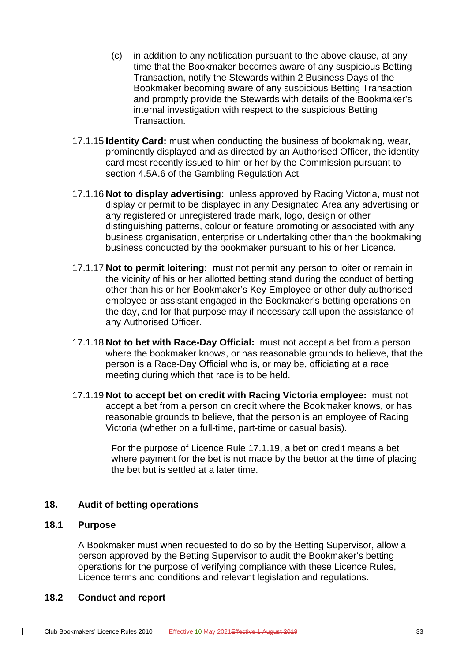- (c) in addition to any notification pursuant to the above clause, at any time that the Bookmaker becomes aware of any suspicious Betting Transaction, notify the Stewards within 2 Business Days of the Bookmaker becoming aware of any suspicious Betting Transaction and promptly provide the Stewards with details of the Bookmaker's internal investigation with respect to the suspicious Betting Transaction.
- 17.1.15 **Identity Card:** must when conducting the business of bookmaking, wear, prominently displayed and as directed by an Authorised Officer, the identity card most recently issued to him or her by the Commission pursuant to section 4.5A.6 of the Gambling Regulation Act.
- 17.1.16 **Not to display advertising:** unless approved by Racing Victoria, must not display or permit to be displayed in any Designated Area any advertising or any registered or unregistered trade mark, logo, design or other distinguishing patterns, colour or feature promoting or associated with any business organisation, enterprise or undertaking other than the bookmaking business conducted by the bookmaker pursuant to his or her Licence.
- 17.1.17 **Not to permit loitering:** must not permit any person to loiter or remain in the vicinity of his or her allotted betting stand during the conduct of betting other than his or her Bookmaker's Key Employee or other duly authorised employee or assistant engaged in the Bookmaker's betting operations on the day, and for that purpose may if necessary call upon the assistance of any Authorised Officer.
- 17.1.18 **Not to bet with Race-Day Official:** must not accept a bet from a person where the bookmaker knows, or has reasonable grounds to believe, that the person is a Race-Day Official who is, or may be, officiating at a race meeting during which that race is to be held.
- <span id="page-48-3"></span>17.1.19 **Not to accept bet on credit with Racing Victoria employee:** must not accept a bet from a person on credit where the Bookmaker knows, or has reasonable grounds to believe, that the person is an employee of Racing Victoria (whether on a full-time, part-time or casual basis).

For the purpose of Licence Rule [17.1.19,](#page-48-3) a bet on credit means a bet where payment for the bet is not made by the bettor at the time of placing the bet but is settled at a later time.

# <span id="page-48-1"></span><span id="page-48-0"></span>**18. Audit of betting operations**

#### **18.1 Purpose**

 $\mathbf{I}$ 

A Bookmaker must when requested to do so by the Betting Supervisor, allow a person approved by the Betting Supervisor to audit the Bookmaker's betting operations for the purpose of verifying compliance with these Licence Rules, Licence terms and conditions and relevant legislation and regulations.

#### <span id="page-48-2"></span>**18.2 Conduct and report**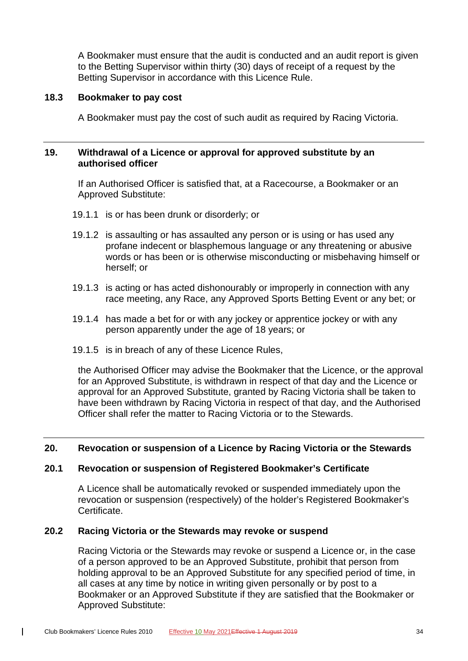A Bookmaker must ensure that the audit is conducted and an audit report is given to the Betting Supervisor within thirty (30) days of receipt of a request by the Betting Supervisor in accordance with this Licence Rule.

#### <span id="page-49-0"></span>**18.3 Bookmaker to pay cost**

A Bookmaker must pay the cost of such audit as required by Racing Victoria.

#### <span id="page-49-1"></span>**19. Withdrawal of a Licence or approval for approved substitute by an authorised officer**

If an Authorised Officer is satisfied that, at a Racecourse, a Bookmaker or an Approved Substitute:

- 19.1.1 is or has been drunk or disorderly; or
- 19.1.2 is assaulting or has assaulted any person or is using or has used any profane indecent or blasphemous language or any threatening or abusive words or has been or is otherwise misconducting or misbehaving himself or herself; or
- 19.1.3 is acting or has acted dishonourably or improperly in connection with any race meeting, any Race, any Approved Sports Betting Event or any bet; or
- 19.1.4 has made a bet for or with any jockey or apprentice jockey or with any person apparently under the age of 18 years; or
- 19.1.5 is in breach of any of these Licence Rules,

the Authorised Officer may advise the Bookmaker that the Licence, or the approval for an Approved Substitute, is withdrawn in respect of that day and the Licence or approval for an Approved Substitute, granted by Racing Victoria shall be taken to have been withdrawn by Racing Victoria in respect of that day, and the Authorised Officer shall refer the matter to Racing Victoria or to the Stewards.

# <span id="page-49-3"></span><span id="page-49-2"></span>**20. Revocation or suspension of a Licence by Racing Victoria or the Stewards**

#### **20.1 Revocation or suspension of Registered Bookmaker's Certificate**

A Licence shall be automatically revoked or suspended immediately upon the revocation or suspension (respectively) of the holder's Registered Bookmaker's Certificate.

#### <span id="page-49-4"></span>**20.2 Racing Victoria or the Stewards may revoke or suspend**

Racing Victoria or the Stewards may revoke or suspend a Licence or, in the case of a person approved to be an Approved Substitute, prohibit that person from holding approval to be an Approved Substitute for any specified period of time, in all cases at any time by notice in writing given personally or by post to a Bookmaker or an Approved Substitute if they are satisfied that the Bookmaker or Approved Substitute: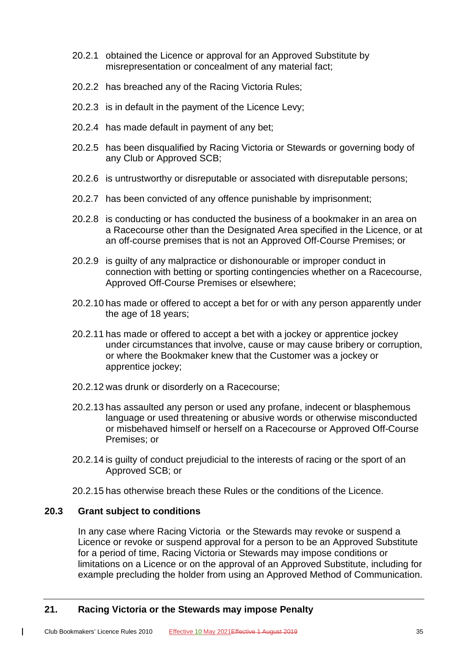- 20.2.1 obtained the Licence or approval for an Approved Substitute by misrepresentation or concealment of any material fact;
- 20.2.2 has breached any of the Racing Victoria Rules;
- 20.2.3 is in default in the payment of the Licence Levy;
- 20.2.4 has made default in payment of any bet;
- 20.2.5 has been disqualified by Racing Victoria or Stewards or governing body of any Club or Approved SCB;
- 20.2.6 is untrustworthy or disreputable or associated with disreputable persons;
- 20.2.7 has been convicted of any offence punishable by imprisonment;
- 20.2.8 is conducting or has conducted the business of a bookmaker in an area on a Racecourse other than the Designated Area specified in the Licence, or at an off-course premises that is not an Approved Off-Course Premises; or
- 20.2.9 is guilty of any malpractice or dishonourable or improper conduct in connection with betting or sporting contingencies whether on a Racecourse, Approved Off-Course Premises or elsewhere;
- 20.2.10 has made or offered to accept a bet for or with any person apparently under the age of 18 years;
- 20.2.11 has made or offered to accept a bet with a jockey or apprentice jockey under circumstances that involve, cause or may cause bribery or corruption, or where the Bookmaker knew that the Customer was a jockey or apprentice jockey;
- 20.2.12 was drunk or disorderly on a Racecourse;
- 20.2.13 has assaulted any person or used any profane, indecent or blasphemous language or used threatening or abusive words or otherwise misconducted or misbehaved himself or herself on a Racecourse or Approved Off-Course Premises; or
- 20.2.14 is guilty of conduct prejudicial to the interests of racing or the sport of an Approved SCB; or
- 20.2.15 has otherwise breach these Rules or the conditions of the Licence.

# <span id="page-50-0"></span>**20.3 Grant subject to conditions**

 $\mathbf{I}$ 

In any case where Racing Victoria or the Stewards may revoke or suspend a Licence or revoke or suspend approval for a person to be an Approved Substitute for a period of time, Racing Victoria or Stewards may impose conditions or limitations on a Licence or on the approval of an Approved Substitute, including for example precluding the holder from using an Approved Method of Communication.

# <span id="page-50-1"></span>**21. Racing Victoria or the Stewards may impose Penalty**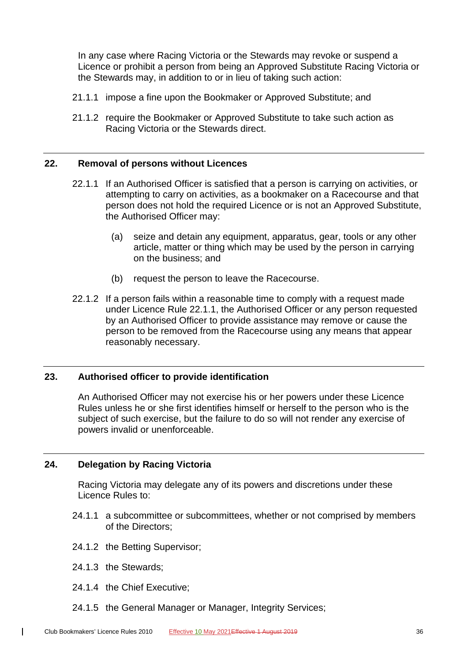In any case where Racing Victoria or the Stewards may revoke or suspend a Licence or prohibit a person from being an Approved Substitute Racing Victoria or the Stewards may, in addition to or in lieu of taking such action:

- 21.1.1 impose a fine upon the Bookmaker or Approved Substitute; and
- 21.1.2 require the Bookmaker or Approved Substitute to take such action as Racing Victoria or the Stewards direct.

#### <span id="page-51-3"></span><span id="page-51-0"></span>**22. Removal of persons without Licences**

- 22.1.1 If an Authorised Officer is satisfied that a person is carrying on activities, or attempting to carry on activities, as a bookmaker on a Racecourse and that person does not hold the required Licence or is not an Approved Substitute, the Authorised Officer may:
	- (a) seize and detain any equipment, apparatus, gear, tools or any other article, matter or thing which may be used by the person in carrying on the business; and
	- (b) request the person to leave the Racecourse.
- 22.1.2 If a person fails within a reasonable time to comply with a request made under Licence Rule [22.1.1,](#page-51-3) the Authorised Officer or any person requested by an Authorised Officer to provide assistance may remove or cause the person to be removed from the Racecourse using any means that appear reasonably necessary.

# <span id="page-51-1"></span>**23. Authorised officer to provide identification**

An Authorised Officer may not exercise his or her powers under these Licence Rules unless he or she first identifies himself or herself to the person who is the subject of such exercise, but the failure to do so will not render any exercise of powers invalid or unenforceable.

# <span id="page-51-2"></span>**24. Delegation by Racing Victoria**

Racing Victoria may delegate any of its powers and discretions under these Licence Rules to:

- 24.1.1 a subcommittee or subcommittees, whether or not comprised by members of the Directors;
- 24.1.2 the Betting Supervisor;
- 24.1.3 the Stewards;

- 24.1.4 the Chief Executive;
- 24.1.5 the General Manager or Manager, Integrity Services;